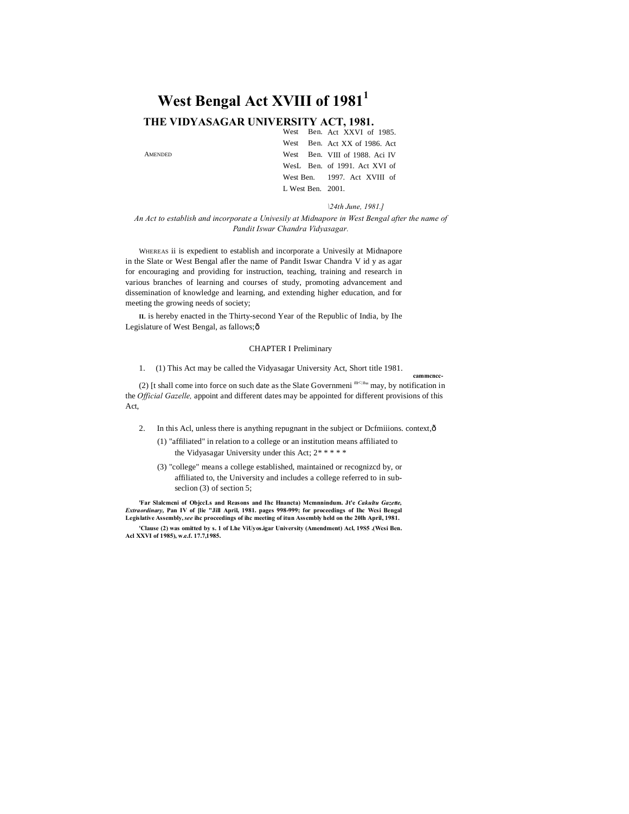# **West Bengal Act XVIII of 1981<sup>1</sup>**

### **THE VIDYASAGAR UNIVERSITY ACT, 1981.**

AMENDED

|                      |  | West Ben. Act XXVI of 1985.    |
|----------------------|--|--------------------------------|
|                      |  | West Ben. Act XX of 1986. Act  |
|                      |  | West Ben. VIII of 1988. Aci IV |
|                      |  | WesL Ben. of 1991. Act XVI of  |
|                      |  | West Ben. 1997. Act XVIII of   |
| L West Ben. $2001$ . |  |                                |

*\24th June, 1981.]*

**cammcncc-**

*An Act to establish and incorporate a Univesily at Midnapore in West Bengal after the name of Pandit Iswar Chandra Vidyasagar.*

WHEREAS ii is expedient to establish and incorporate a Univesily at Midnapore in the Slate or West Bengal afler the name of Pandit Iswar Chandra V id y as agar for encouraging and providing for instruction, teaching, training and research in various branches of learning and courses of study, promoting advancement and dissemination of knowledge and learning, and extending higher education, and for meeting the growing needs of society;

**IL** is hereby enacted in the Thirty-second Year of the Republic of India, by Ihe Legislature of West Bengal, as fallows; ô

#### CHAPTER I Preliminary

1. (1) This Act may be called the Vidyasagar University Act, Short title 1981.

(2) [t shall come into force on such date as the Slate Governmeni  $m \le n_{\text{in}}$  may, by notification in the *Official Gazelle,* appoint and different dates may be appointed for different provisions of this Act,

- 2. In this Acl, unless there is anything repugnant in the subject or Dcfmiiions. context, ô
	- (1) "affiliated" in relation to a college or an institution means affiliated to the Vidyasagar University under this Act; 2\* \* \* \* \*
	- (3) "college" means a college established, maintained or recognizcd by, or affiliated to, the University and includes a college referred to in subseclion (3) of section 5;

**'Far Slalcmcni of ObjccLs and Reasons and Ihc Hnancta) Mcmnnindum. Jt'e** *Cakultu Gazette, Extraordinary,* **Pan IV of [lie "Jill April, 1981. pages 998-999; for proceedings of Ihc Wcsi Bengal Legislative Assembly,***see* **ihc proceedings of ihc meeting of itun Assembly held on the 20lh April, 1981.**

**'Clause (2) was omitted by s. 1 of Lhe ViUyos.igar University (Amendment) Acl, 19S5 .(Wcsi Ben. Acl XXVI of 1985), w.e.f. 17.7,1985.**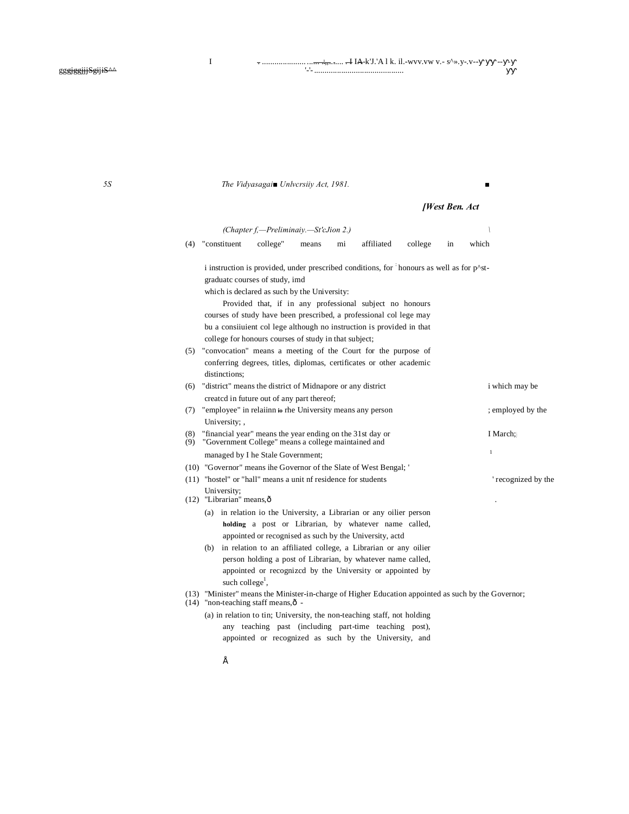*5S The Vidyasagai■ Unlvcrsiiy Act, 1981. ■*

### *[West Ben. Act*

|                                              |                                                                       | (Chapter f,-Preliminaiy.-St'cJion 2.)                                                                                                                      |       |    |            |         |    |              |                    |
|----------------------------------------------|-----------------------------------------------------------------------|------------------------------------------------------------------------------------------------------------------------------------------------------------|-------|----|------------|---------|----|--------------|--------------------|
| (4)                                          | "constituent                                                          | college"                                                                                                                                                   | means | mi | affiliated | college | in | which        |                    |
|                                              |                                                                       | i instruction is provided, under prescribed conditions, for honours as well as for p <sup><math>\lambda</math></sup> st-<br>graduate courses of study, imd |       |    |            |         |    |              |                    |
| which is declared as such by the University: |                                                                       |                                                                                                                                                            |       |    |            |         |    |              |                    |
|                                              |                                                                       | Provided that, if in any professional subject no honours                                                                                                   |       |    |            |         |    |              |                    |
|                                              |                                                                       | courses of study have been prescribed, a professional col lege may                                                                                         |       |    |            |         |    |              |                    |
|                                              | bu a consiiuient col lege although no instruction is provided in that |                                                                                                                                                            |       |    |            |         |    |              |                    |
|                                              |                                                                       | college for honours courses of study in that subject;                                                                                                      |       |    |            |         |    |              |                    |
| (5)                                          |                                                                       | "convocation" means a meeting of the Court for the purpose of                                                                                              |       |    |            |         |    |              |                    |
|                                              |                                                                       | conferring degrees, titles, diplomas, certificates or other academic                                                                                       |       |    |            |         |    |              |                    |
|                                              | distinctions:                                                         |                                                                                                                                                            |       |    |            |         |    |              |                    |
| (6)                                          |                                                                       | "district" means the district of Midnapore or any district                                                                                                 |       |    |            |         |    |              | i which may be     |
|                                              |                                                                       | created in future out of any part thereof;                                                                                                                 |       |    |            |         |    |              |                    |
| (7)                                          |                                                                       | "employee" in relaiinn io rhe University means any person                                                                                                  |       |    |            |         |    |              | ; employed by the  |
|                                              | University; ,                                                         |                                                                                                                                                            |       |    |            |         |    |              |                    |
| (8)<br>(9)                                   |                                                                       | "financial year" means the year ending on the 31st day or<br>"Government College" means a college maintained and                                           |       |    |            |         |    | I March;     |                    |
|                                              |                                                                       | managed by I he Stale Government;                                                                                                                          |       |    |            |         |    | $\mathbf{1}$ |                    |
|                                              |                                                                       | (10) "Governor" means ihe Governor of the Slate of West Bengal; '                                                                                          |       |    |            |         |    |              |                    |
|                                              |                                                                       | (11) "hostel" or "hall" means a unit of residence for students                                                                                             |       |    |            |         |    |              | 'recognized by the |
|                                              | University;<br>(12) "Librarian" means, ô                              |                                                                                                                                                            |       |    |            |         |    |              |                    |
|                                              |                                                                       | (a) in relation io the University, a Librarian or any oilier person                                                                                        |       |    |            |         |    |              |                    |
|                                              |                                                                       | holding a post or Librarian, by whatever name called,                                                                                                      |       |    |            |         |    |              |                    |
|                                              |                                                                       | appointed or recognised as such by the University, actd                                                                                                    |       |    |            |         |    |              |                    |
|                                              | (b)                                                                   | in relation to an affiliated college, a Librarian or any oilier                                                                                            |       |    |            |         |    |              |                    |
|                                              |                                                                       | person holding a post of Librarian, by whatever name called,                                                                                               |       |    |            |         |    |              |                    |
|                                              |                                                                       | appointed or recognized by the University or appointed by<br>such college <sup><math>\cdot</math></sup> ,                                                  |       |    |            |         |    |              |                    |
| (14)                                         |                                                                       | (13) "Minister" means the Minister-in-charge of Higher Education appointed as such by the Governor;<br>"non-teaching staff means, $\hat{o}$ -              |       |    |            |         |    |              |                    |
|                                              |                                                                       | (a) in relation to tin; University, the non-teaching staff, not holding                                                                                    |       |    |            |         |    |              |                    |
|                                              |                                                                       | any teaching past (including part-time teaching post),                                                                                                     |       |    |            |         |    |              |                    |
|                                              |                                                                       | appointed or recognized as such by the University, and                                                                                                     |       |    |            |         |    |              |                    |
|                                              |                                                                       |                                                                                                                                                            |       |    |            |         |    |              |                    |

 $\acute{\mathrm{E}}$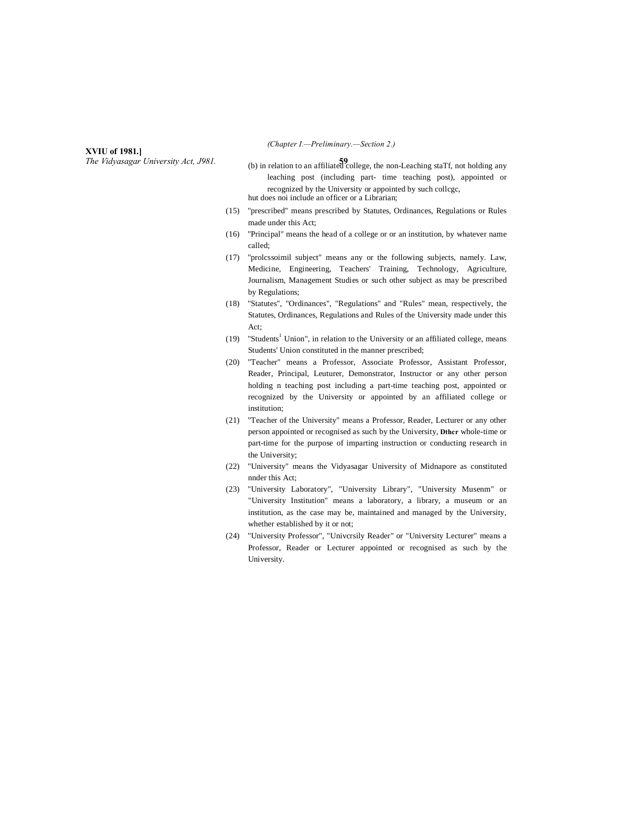#### **XVIU of 1981.]**

*The Vidyasagar University Act, J981.* **59**

*(Chapter I.—Preliminary.—Section 2.)*

- (b) in relation to an affiliated college, the non-Leaching staTf, not holding any leaching post (including part- time teaching post), appointed or recognized by the University or appointed by such collcgc, hut does noi include an officer or a Librarian;
- (15) "prescribed" means prescribed by Statutes, Ordinances, Regulations or Rules made under this Act;
- (16) "Principal" means the head of a college or or an institution, by whatever name called;
- (17) "prolcssoimil subject" means any or the following subjects, namely. Law, Medicine, Engineering, Teachers' Training, Technology, Agriculture, Journalism, Management Studies or such other subject as may be prescribed by Regulations;
- (18) "Statutes", "Ordinances", "Regulations" and "Rules" mean, respectively, the Statutes, Ordinances, Regulations and Rules of the University made under this Act;
- (19) "Students<sup>1</sup> Union", in relation to the University or an affiliated college, means Students' Union constituted in the manner prescribed;
- (20) "Teacher" means a Professor, Associate Professor, Assistant Professor, Reader, Principal, Leuturer, Demonstrator, Instructor or any other person holding n teaching post including a part-time teaching post, appointed or recognized by the University or appointed by an affiliated college or institution;
- (21) "Teacher of the University" means a Professor, Reader, Lecturer or any other person appointed or recognised as such by the University, **Dthcr** whole-time or part-time for the purpose of imparting instruction or conducting research in the University;
- (22) "University" means the Vidyasagar University of Midnapore as constituted nnder this Act;
- (23) "University Laboratory", "University Library", "University Musenm" or "University Institution" means a laboratory, a library, a museum or an institution, as the case may be, maintained and managed by the University, whether established by it or not;
- (24) "University Professor", "Univcrsily Reader" or "University Lecturer" means a Professor, Reader or Lecturer appointed or recognised as such by the University.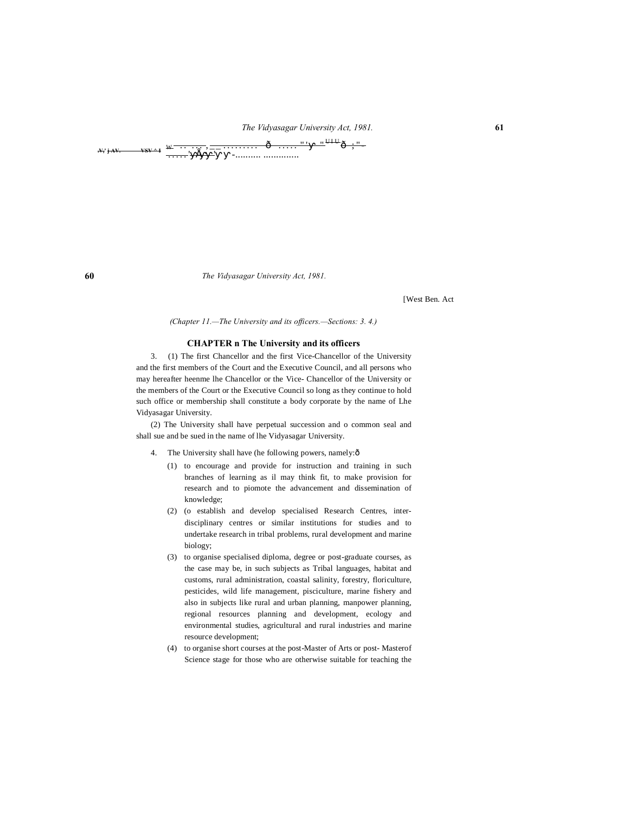# *The Vidyasagar University Act, 1981.* **61**  $\cdots \quad \hat{\mathbf{o}} \quad \cdots \quad \cdots \quad \mathbf{u} \quad \mathbf{u} \quad \mathbf{u} \cdot \mathbf{u} \cdot \mathbf{v} \quad \cdots$

*The Vidyasagar University Act, 1981.*

[West Ben. Act

*(Chapter 11.—The University and its officers.—Sections: 3. 4.)*

#### **CHAPTER n The University and its officers**

3. (1) The first Chancellor and the first Vice-Chancellor of the University and the first members of the Court and the Executive Council, and all persons who may hereafter heenme lhe Chancellor or the Vice- Chancellor of the University or the members of the Court or the Executive Council so long as they continue to hold such office or membership shall constitute a body corporate by the name of Lhe Vidyasagar University.

(2) The University shall have perpetual succession and o common seal and shall sue and be sued in the name of lhe Vidyasagar University.

- 4. The University shall have (he following powers, namely: $\delta$ 
	- (1) to encourage and provide for instruction and training in such branches of learning as il may think fit, to make provision for research and to piomote the advancement and dissemination of knowledge;
	- (2) (o establish and develop specialised Research Centres, interdisciplinary centres or similar institutions for studies and to undertake research in tribal problems, rural development and marine biology;
	- (3) to organise specialised diploma, degree or post-graduate courses, as the case may be, in such subjects as Tribal languages, habitat and customs, rural administration, coastal salinity, forestry, floriculture, pesticides, wild life management, pisciculture, marine fishery and also in subjects like rural and urban planning, manpower planning, regional resources planning and development, ecology and environmental studies, agricultural and rural industries and marine resource development;
	- (4) to organise short courses at the post-Master of Arts or post- Masterof Science stage for those who are otherwise suitable for teaching the

**.V,' j AV. VSV ^ I**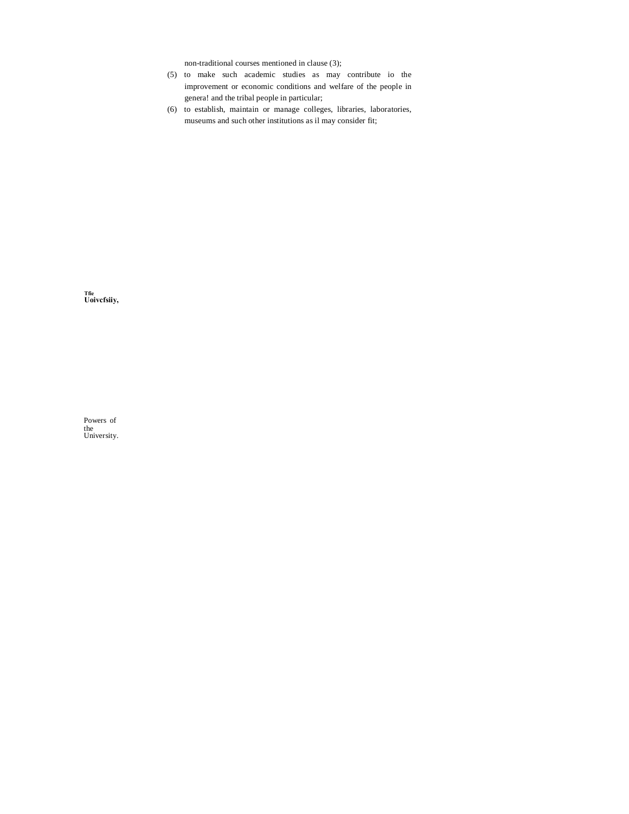non-traditional courses mentioned in clause (3);

- (5) to make such academic studies as may contribute io the improvement or economic conditions and welfare of the people in genera! and the tribal people in particular;
- (6) to establish, maintain or manage colleges, libraries, laboratories, museums and such other institutions as il may consider fit;

**Tfie Uoivcfsiiy,**

Powers of the University.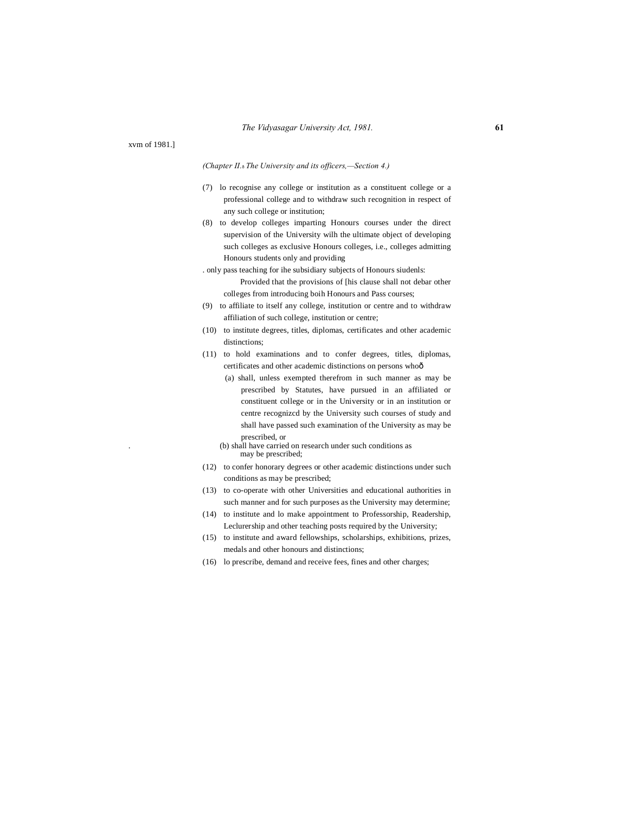xvm of 1981.]

#### *(Chapter II.*—*The University and its officers,—Section 4.)*

- (7) lo recognise any college or institution as a constituent college or a professional college and to withdraw such recognition in respect of any such college or institution;
- (8) to develop colleges imparting Honours courses under the direct supervision of the University wilh the ultimate object of developing such colleges as exclusive Honours colleges, i.e., colleges admitting Honours students only and providing
- . only pass teaching for ihe subsidiary subjects of Honours siudenls: Provided that the provisions of [his clause shall not debar other colleges from introducing boih Honours and Pass courses;
- (9) to affiliate to itself any college, institution or centre and to withdraw affiliation of such college, institution or centre;
- (10) to institute degrees, titles, diplomas, certificates and other academic distinctions;
- (11) to hold examinations and to confer degrees, titles, diplomas, certificates and other academic distinctions on persons whoô
	- (a) shall, unless exempted therefrom in such manner as may be prescribed by Statutes, have pursued in an affiliated or constituent college or in the University or in an institution or centre recognizcd by the University such courses of study and shall have passed such examination of the University as may be prescribed, or
	- . (b) shall have carried on research under such conditions as may be prescribed;
- (12) to confer honorary degrees or other academic distinctions under such conditions as may be prescribed;
- (13) to co-operate with other Universities and educational authorities in such manner and for such purposes as the University may determine;
- (14) to institute and lo make appointment to Professorship, Readership, Leclurership and other teaching posts required by the University;
- (15) to institute and award fellowships, scholarships, exhibitions, prizes, medals and other honours and distinctions;
- (16) lo prescribe, demand and receive fees, fines and other charges;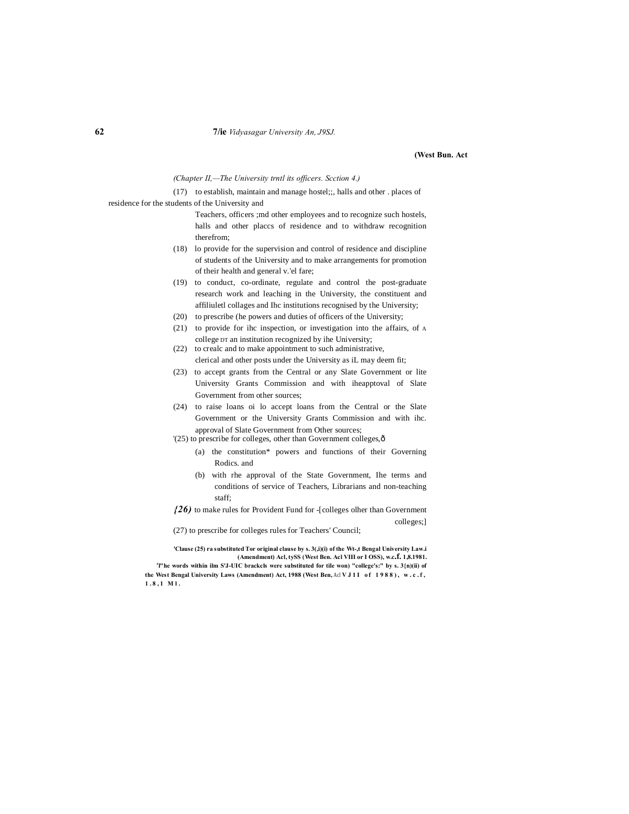#### **62 7/ie** *Vidyasagar University An, J9SJ.*

#### **(West Bun. Act**

*(Chapter II,—The University trntl its officers. Scction 4.)*

(17) to establish, maintain and manage hostel;;, halls and other . places of residence for the students of the University and

> Teachers, officers ;md other employees and to recognize such hostels, halls and other placcs of residence and to withdraw recognition therefrom;

- (18) lo provide for the supervision and control of residence and discipline of students of the University and to make arrangements for promotion of their health and general v.'el fare;
- (19) to conduct, co-ordinate, regulate and control the post-graduate research work and leaching in the University, the constituent and affiliuletl collages and Ihc institutions recognised by the University;
- (20) to prescribe (he powers and duties of officers of the University;
- (21) to provide for ihc inspection, or investigation into the affairs, of A college DT an institution recognized by ihe University;
- (22) to crealc and to make appointment to such administrative, clerical and other posts under the University as iL may deem fit;
- (23) to accept grants from the Central or any Slate Government or lite University Grants Commission and with iheapptoval of Slate Government from other sources;
- (24) to raise loans oi lo accept loans from the Central or the Slate Government or the University Grants Commission and with ihc. approval of Slate Government from Other sources;
- '(25) to prescribe for colleges, other than Government colleges, $\hat{o}$ 
	- (a) the constitution\* powers and functions of their Governing Rodics. and
	- (b) with rhe approval of the State Government, Ihe terms and conditions of service of Teachers, Librarians and non-teaching staff;

*{26)* to make rules for Provident Fund for -[colleges olher than Government colleges;]

(27) to prescribe for colleges rules for Teachers' Council;

**'Clause (25) ra substituted Tor original clause by s. 3(,i)(i) of the Wt-,t Bengal University Law.i (Amendment) Acl, tySS (West Ben. Acl VIII or I OSS), w.c.f. 1,8.1981.** <sup>r</sup>]"he words within ilm S'J-UIC brackcls were substituted for tile won) "college's:" by s. 3{n)(ii) of the West Bengal University Laws (Amendment) Act, 1988 (West Ben, Acl V J 1 I of 1988), w.c.f, **1 . 8 , 1 M l .**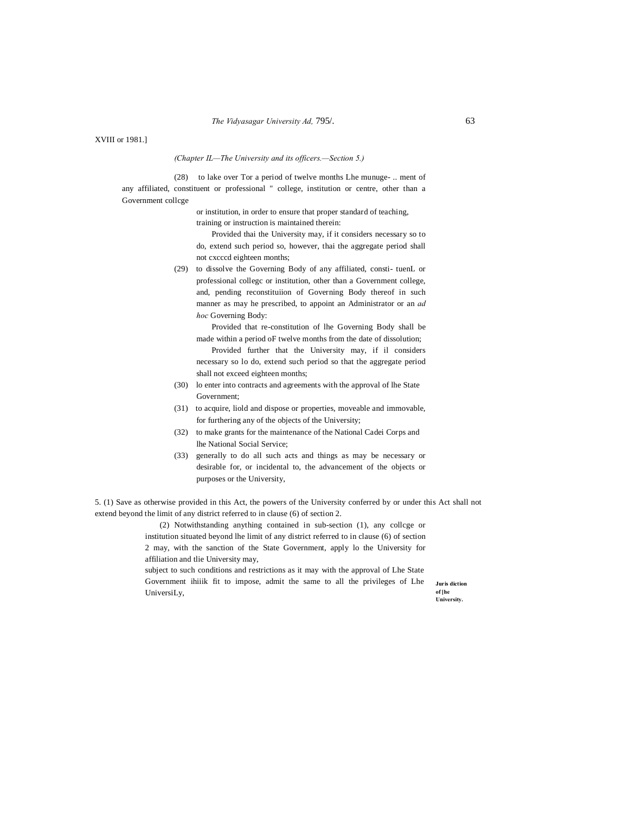XVIII or 1981.]

*(Chapter IL—The University and its officers.—Section 5.)*

(28) to lake over Tor a period of twelve months Lhe munuge- .. ment of any affiliated, constituent or professional " college, institution or centre, other than a Government collcge

or institution, in order to ensure that proper standard of teaching,

training or instruction is maintained therein:

Provided thai the University may, if it considers necessary so to do, extend such period so, however, thai the aggregate period shall not cxcccd eighteen months;

(29) to dissolve the Governing Body of any affiliated, consti- tuenL or professional collegc or institution, other than a Government college, and, pending reconstituiion of Governing Body thereof in such manner as may he prescribed, to appoint an Administrator or an *ad hoc* Governing Body:

Provided that re-constitution of lhe Governing Body shall be made within a period oF twelve months from the date of dissolution; Provided further that the University may, if il considers necessary so lo do, extend such period so that the aggregate period shall not exceed eighteen months;

- (30) lo enter into contracts and agreements with the approval of lhe State Government;
- (31) to acquire, liold and dispose or properties, moveable and immovable, for furthering any of the objects of the University;
- (32) to make grants for the maintenance of the National Cadei Corps and lhe National Social Service;
- (33) generally to do all such acts and things as may be necessary or desirable for, or incidental to, the advancement of the objects or purposes or the University,

5. (1) Save as otherwise provided in this Act, the powers of the University conferred by or under this Act shall not extend beyond the limit of any district referred to in clause (6) of section 2.

> (2) Notwithstanding anything contained in sub-section (1), any collcge or institution situated beyond lhe limit of any district referred to in clause (6) of section 2 may, with the sanction of the State Government, apply lo the University for affiliation and tlie University may,

subject to such conditions and restrictions as it may with the approval of Lhe State Government ihiiik fit to impose, admit the same to all the privileges of Lhe UniversiLy,

**Juris diction of [he University.**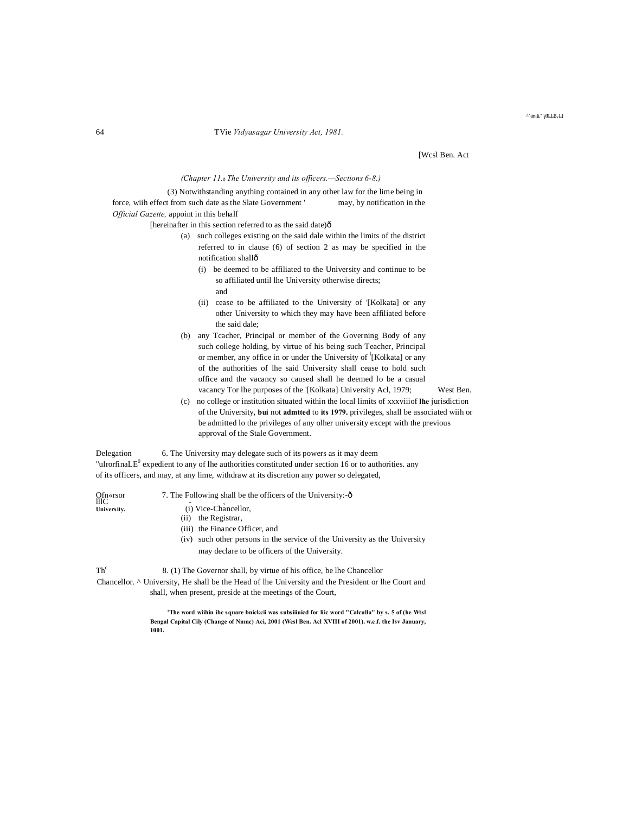#### 64 TVie *Vidyasagar University Act, 1981.*

[Wcsl Ben. Act

^^imili." JLLB. LI

#### *(Chapter 11.*—*The University and its officers.—Sections 6-8.)*

(3) Notwithstanding anything contained in any other law for the lime being in force, wiih effect from such date as the Slate Government ' may, by notification in the *Official Gazette,* appoint in this behalf

[hereinafter in this section referred to as the said date) $\hat{o}$ 

- (a) such colleges existing on the said dale within the limits of the district referred to in clause (6) of section 2 as may be specified in the notification shall—
	- (i) be deemed to be affiliated to the University and continue to be so affiliated until lhe University otherwise directs; and
	- (ii) cease to be affiliated to the University of '[Kolkata] or any other University to which they may have been affiliated before the said dale;
- (b) any Tcacher, Principal or member of the Governing Body of any such college holding, by virtue of his being such Teacher, Principal or member, any office in or under the University of <sup>1</sup>[Kolkata] or any of the authorities of lhe said University shall cease to hold such office and the vacancy so caused shall he deemed lo be a casual vacancy Tor lhe purposes of the '[Kolkata] University Acl, 1979; West Ben.
- (c) no college or institution situated within the local limits of xxxviiiof **lhe** jurisdiction of the University, **bui** not **admtted** to **its 1979.** privileges, shall be associated wiih or be admitted lo the privileges of any olher university except with the previous approval of the Stale Government.

Delegation 6. The University may delegate such of its powers as it may deem "ulrorfinaLE $^0$  expedient to any of lhe authorities constituted under section 16 or to authorities. any of its officers, and may, at any lime, withdraw at its discretion any power so delegated,

| Ofn«rsor<br>IIIC | 7. The Following shall be the officers of the University:-ô                   |
|------------------|-------------------------------------------------------------------------------|
| University.      | (i) Vice-Chancellor,                                                          |
|                  | the Registrar.<br>(ii)                                                        |
|                  | (iii) the Finance Officer, and                                                |
|                  | such other persons in the service of the University as the University<br>(iv) |
|                  | may declare to be officers of the University.                                 |
| Th <sup>c</sup>  | 8. (1) The Governor shall, by virtue of his office, be lhe Chancellor         |
|                  | $\alpha$ is a triangle and the state of the state $\alpha$ and $\alpha$       |

Chancellor. ^ University, He shall be the Head of lhe University and the President or lhe Court and shall, when present, preside at the meetings of the Court,

> **'The word wiihin ihc square bnickcii was subsiiiuicd for liic word "Calculla" by s. 5 of (he Wtsl Bengal Capital Cily (Change of Nnmc) Aci, 2001 (Wcsl Ben. Acl XVIII of 2001). w.c.f. the Isv January, 1001.**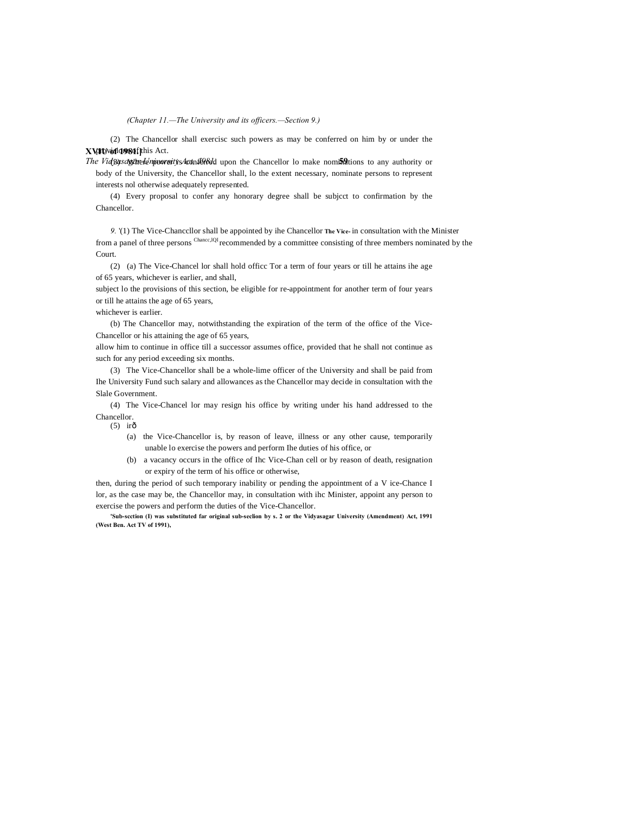*(Chapter 11.—The University and its officers.—Section 9.)*

**XVIU of 1981.]** provisions of this Act. (2) The Chancellor shall exercisc such powers as may be conferred on him by or under the

*The Vidgasagare Leminos resity s Act in 1988* dupon the Chancellor lo make nominations to any authority or body of the University, the Chancellor shall, lo the extent necessary, nominate persons to represent interests nol otherwise adequately represented.

(4) Every proposal to confer any honorary degree shall be subjcct to confirmation by the Chancellor.

*9.* '(1) The Vice-Chanccllor shall be appointed by ihe Chancellor **The Vice-** in consultation with the Minister from a panel of three persons <sup>Chancc,lQI</sup> recommended by a committee consisting of three members nominated by the Court.

(2) (a) The Vice-Chancel lor shall hold officc Tor a term of four years or till he attains ihe age of 65 years, whichever is earlier, and shall,

subject lo the provisions of this section, be eligible for re-appointment for another term of four years or till he attains the age of 65 years,

whichever is earlier.

(b) The Chancellor may, notwithstanding the expiration of the term of the office of the Vice-Chancellor or his attaining the age of 65 years,

allow him to continue in office till a successor assumes office, provided that he shall not continue as such for any period exceeding six months.

(3) The Vice-Chancellor shall be a whole-lime officer of the University and shall be paid from Ihe University Fund such salary and allowances as the Chancellor may decide in consultation with the Slale Government.

(4) The Vice-Chancel lor may resign his office by writing under his hand addressed to the Chancellor.

 $(5)$  irô

- (a) the Vice-Chancellor is, by reason of leave, illness or any other cause, temporarily unable lo exercise the powers and perform Ihe duties of his office, or
- (b) a vacancy occurs in the office of Ihc Vice-Chan cell or by reason of death, resignation or expiry of the term of his office or otherwise,

then, during the period of such temporary inability or pending the appointment of a V ice-Chance I lor, as the case may be, the Chancellor may, in consultation with ihc Minister, appoint any person to exercise the powers and perform the duties of the Vice-Chancellor.

**'Sub-scction (I) was substituted far original sub-seclion by s. 2 or the Vidyasagar University (Amendment) Act, 1991 (West Ben. Act TV of 1991),**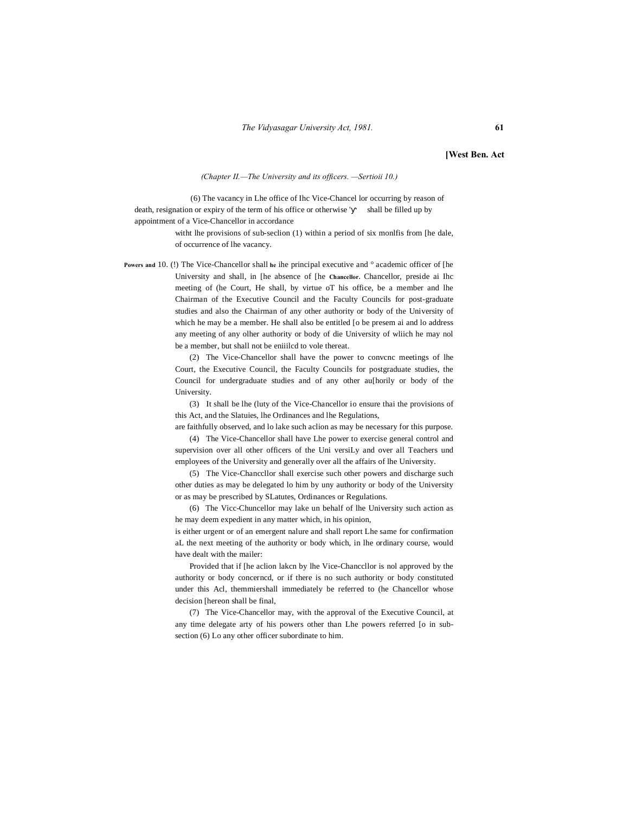#### **[West Ben. Act**

#### *(Chapter II.—The University and its officers. —Sertioii 10.)*

(6) The vacancy in Lhe office of Ihc Vice-Chancel lor occurring by reason of death, resignation or expiry of the term of his office or otherwise ' shall be filled up by appointment of a Vice-Chancellor in accordance

> witht lhe provisions of sub-seclion (1) within a period of six monlfis from [he dale, of occurrence of lhe vacancy.

**Powers and** 10. (!) The Vice-Chancellor shall **he** ihe principal executive and ° academic officer of [he University and shall, in [he absence of [he **Chancellor.** Chancellor, preside ai Ihc meeting of (he Court, He shall, by virtue oT his office, be a member and lhe Chairman of the Executive Council and the Faculty Councils for post-graduate studies and also the Chairman of any other authority or body of the University of which he may be a member. He shall also be entitled [o be presem ai and lo address any meeting of any olher authority or body of die University of wliich he may nol be a member, but shall not be eniiilcd to vole thereat.

> (2) The Vice-Chancellor shall have the power to convcnc meetings of lhe Court, the Executive Council, the Faculty Councils for postgraduate studies, the Council for undergraduate studies and of any other au[horily or body of the University.

> (3) It shall be lhe (luty of the Vice-Chancellor io ensure thai the provisions of this Act, and the Slatuies, lhe Ordinances and lhe Regulations,

> are faithfully observed, and lo lake such aclion as may be necessary for this purpose. (4) The Vice-Chancellor shall have Lhe power to exercise general control and

> supervision over all other officers of the Uni versiLy and over all Teachers und employees of the University and generally over all the affairs of lhe University.

> (5) The Vice-Chanccllor shall exercise such other powers and discharge such other duties as may be delegated lo him by uny authority or body of the University or as may be prescribed by SLatutes, Ordinances or Regulations.

> (6) The Vicc-Chuncellor may lake un behalf of lhe University such action as he may deem expedient in any matter which, in his opinion,

> is either urgent or of an emergent nalure and shall report Lhe same for confirmation aL the next meeting of the authority or body which, in lhe ordinary course, would have dealt with the mailer:

> Provided that if [he aclion lakcn by lhe Vice-Chanccllor is nol approved by the authority or body concerncd, or if there is no such authority or body constituted under this Acl, themmiershall immediately be referred to (he Chancellor whose decision [hereon shall be final,

> (7) The Vice-Chancellor may, with the approval of the Executive Council, at any time delegate arty of his powers other than Lhe powers referred [o in subsection (6) Lo any other officer subordinate to him.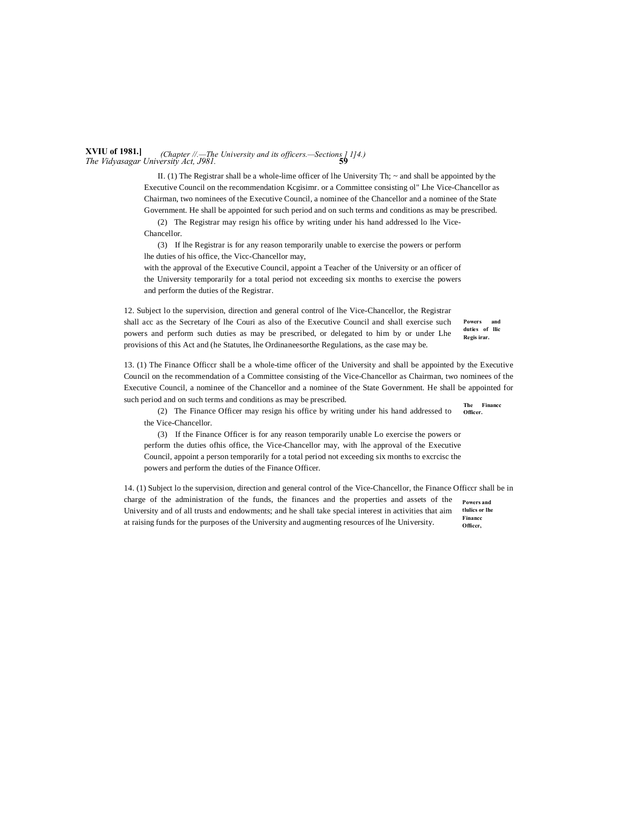#### **XVIU of 1981.]** *The Vidyasagar University Act, J981.* **59** *(Chapter //.—The University and its officers.—Sections ] 1]4.)*

II. (1) The Registrar shall be a whole-lime officer of lhe University Th;  $\sim$  and shall be appointed by the Executive Council on the recommendation Kcgisimr. or a Committee consisting ol" Lhe Vice-Chancellor as Chairman, two nominees of the Executive Council, a nominee of the Chancellor and a nominee of the State Government. He shall be appointed for such period and on such terms and conditions as may be prescribed.

(2) The Registrar may resign his office by writing under his hand addressed lo lhe Vice-Chancellor.

(3) If lhe Registrar is for any reason temporarily unable to exercise the powers or perform lhe duties of his office, the Vicc-Chancellor may,

with the approval of the Executive Council, appoint a Teacher of the University or an officer of the University temporarily for a total period not exceeding six months to exercise the powers and perform the duties of the Registrar.

12. Subject lo the supervision, direction and general control of lhe Vice-Chancellor, the Registrar shall acc as the Secretary of lhe Couri as also of the Executive Council and shall exercise such powers and perform such duties as may be prescribed, or delegated to him by or under Lhe provisions of this Act and (he Statutes, lhe Ordinaneesorthe Regulations, as the case may be.

**The Financc**  13. (1) The Finance Officcr shall be a whole-time officer of the University and shall be appointed by the Executive Council on the recommendation of a Committee consisting of the Vice-Chancellor as Chairman, two nominees of the Executive Council, a nominee of the Chancellor and a nominee of the State Government. He shall be appointed for such period and on such terms and conditions as may be prescribed.

**Powers and duties of llic Regis irar.**

**Officer.** (2) The Finance Officer may resign his office by writing under his hand addressed to the Vice-Chancellor.

(3) If the Finance Officer is for any reason temporarily unable Lo exercise the powers or perform the duties ofhis office, the Vice-Chancellor may, with lhe approval of the Executive Council, appoint a person temporarily for a total period not exceeding six months to excrcisc the powers and perform the duties of the Finance Officer.

**Powers and tlulics or lhe Financc Officcr,** 14. (1) Subject lo the supervision, direction and general control of the Vice-Chancellor, the Finance Officcr shall be in charge of the administration of the funds, the finances and the properties and assets of the University and of all trusts and endowments; and he shall take special interest in activities that aim at raising funds for the purposes of the University and augmenting resources of lhe University.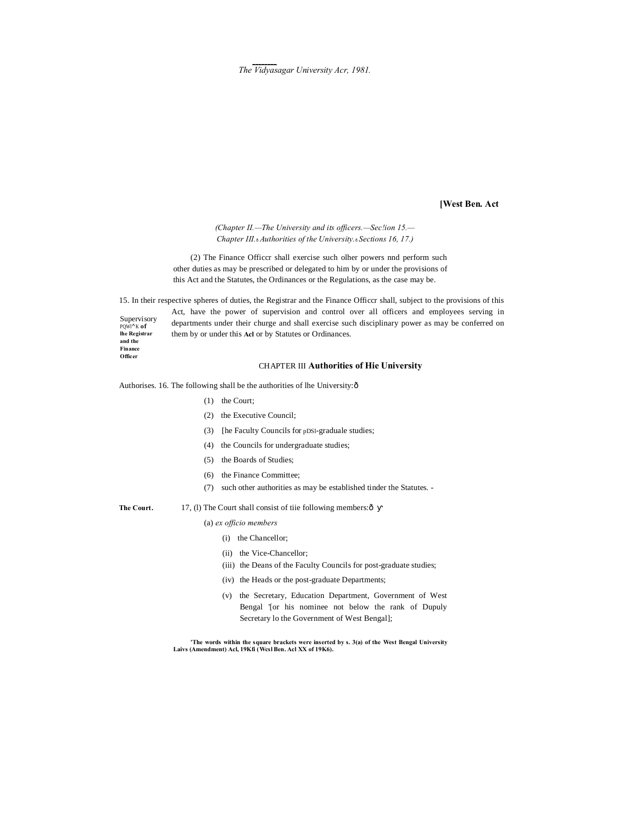$The$  Vidyasagar University Acr, 1981.

**[West Ben. Act** *(Chapter II.—The University and its officers.—Sec!ion 15.— Chapter III.*—*Authorities of the University.*—*Sections 16, 17.)* (2) The Finance Officcr shall exercise such olher powers nnd perform such other duties as may be prescribed or delegated to him by or under the provisions of this Act and the Statutes, the Ordinances or the Regulations, as the case may be. 15. In their respective spheres of duties, the Registrar and the Finance Officcr shall, subject to the provisions of this Act, have the power of supervision and control over all officers and employees serving in departments under their churge and shall exercise such disciplinary power as may be conferred on them by or under this **Acl** or by Statutes or Ordinances. CHAPTER III **Authorities of Hie University** Authorises. 16. The following shall be the authorities of lhe University: ô (1) the Court; (2) the Executive Council;

- (3) [he Faculty Councils for pDSl-graduale studies;
- (4) the Councils for undergraduate studies;
- (5) the Boards of Studies;
- (6) the Finance Committee;
- (7) such other authorities as may be established tinder the Statutes. -
- The Court. 17, (1) The Court shall consist of tiie following members: ô
	- (a) *ex officio members*
		- (i) the Chancellor;
		- (ii) the Vice-Chancellor;
		- (iii) the Deans of the Faculty Councils for post-graduate studies;
		- (iv) the Heads or the post-graduate Departments;
		- (v) the Secretary, Education Department, Government of West Bengal '[or his nominee not below the rank of Dupuly Secretary lo the Government of West Bengal];

**'The words within the square brackets were inserted by s. 3(a) of the West Bengal University Laivs (Amendment) Acl, 19Kfi (Wcsl Ben. Acl XX of 19K6).**

Supervisory PQWl**^**<sup>K</sup> **of lhe Registrar and the Finance Officer**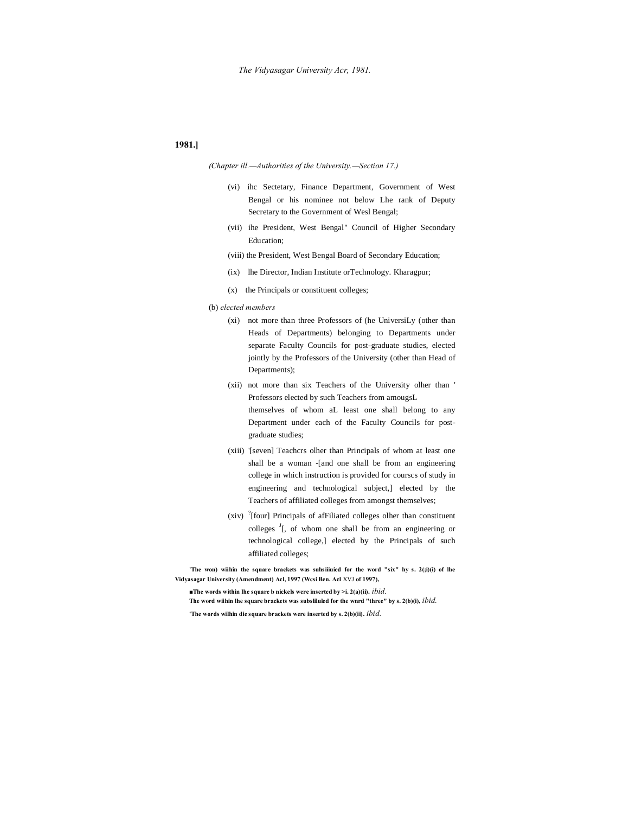#### **1981.]**

#### *(Chapter ill.—Authorities of the University.—Section 17.)*

- (vi) ihc Sectetary, Finance Department, Government of West Bengal or his nominee not below Lhe rank of Deputy Secretary to the Government of Wesl Bengal;
- (vii) ihe President, West Bengal" Council of Higher Secondary Education;
- (viii) the President, West Bengal Board of Secondary Education;
- (ix) lhe Director, Indian Institute orTechnology. Kharagpur;
- (x) the Principals or constituent colleges;
- (b) *elected members*
	- (xi) not more than three Professors of (he UniversiLy (other than Heads of Departments) belonging to Departments under separate Faculty Councils for post-graduate studies, elected jointly by the Professors of the University (other than Head of Departments);
	- (xii) not more than six Teachers of the University olher than ' Professors elected by such Teachers from amougsL themselves of whom aL least one shall belong to any Department under each of the Faculty Councils for postgraduate studies;
	- (xiii) '[seven] Teachcrs olher than Principals of whom at least one shall be a woman -[and one shall be from an engineering college in which instruction is provided for courscs of study in engineering and technological subject,] elected by the Teachers of affiliated colleges from amongst themselves;
	- $(xiv)$  <sup>?</sup>[four] Principals of afFiliated colleges olher than constituent colleges  $\frac{J}{I}$ , of whom one shall be from an engineering or technological college,] elected by the Principals of such affiliated colleges;

'The won) wiihin the square brackets was suhsiiiuied for the word "six" hy s. 2(;i)(i) of lhe **Vidyasagar University (Amendment) Acl, 1997 (Wcsi Ben. Acl** XVJ **of 1997),**

**■The words within lhe square b nickels were inserted by >i. 2(a)(ii).** *ibid.*

**The word wiihin lhe square brackets was subsliluled for the wnrd "three" by s. 2(b)(i),** *ibid.* **'The words wilhin die square brackets were inserted by s. 2(b)(ii).** *ibid.*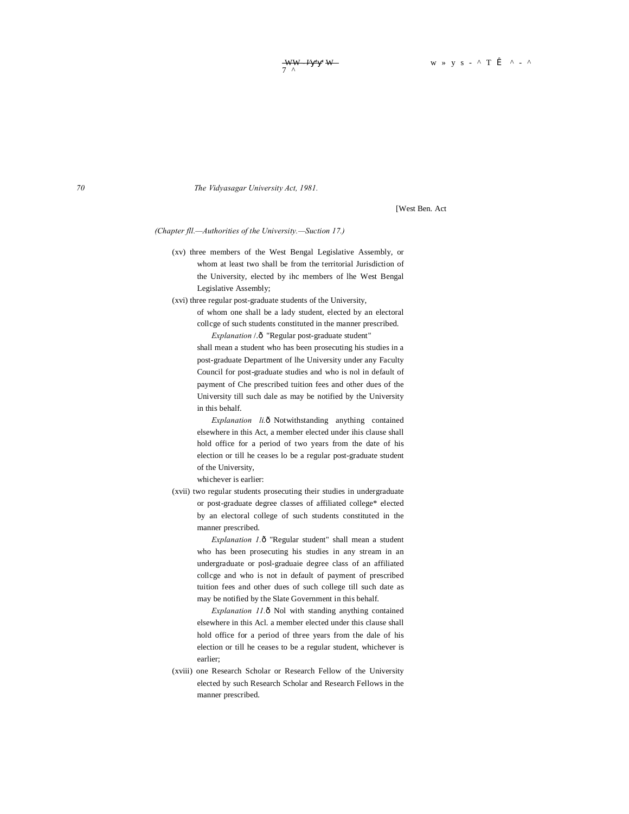*70 The Vidyasagar University Act, 1981.*

[West Ben. Act

*(Chapter fll.—Authorities of the University.—Suction 17.)*

(xv) three members of the West Bengal Legislative Assembly, or whom at least two shall be from the territorial Jurisdiction of the University, elected by ihc members of lhe West Bengal Legislative Assembly;

(xvi) three regular post-graduate students of the University,

of whom one shall be a lady student, elected by an electoral collcge of such students constituted in the manner prescribed. *Explanation* /.ô "Regular post-graduate student"

shall mean a student who has been prosecuting his studies in a post-graduate Department of lhe University under any Faculty Council for post-graduate studies and who is nol in default of payment of Che prescribed tuition fees and other dues of the University till such dale as may be notified by the University in this behalf.

*Explanation li.* $\delta$  Notwithstanding anything contained elsewhere in this Act, a member elected under ihis clause shall hold office for a period of two years from the date of his election or till he ceases lo be a regular post-graduate student of the University,

whichever is earlier:

(xvii) two regular students prosecuting their studies in undergraduate or post-graduate degree classes of affiliated college\* elected by an electoral college of such students constituted in the manner prescribed.

> *Explanation 1.* $\delta$  "Regular student" shall mean a student who has been prosecuting his studies in any stream in an undergraduate or posl-graduaie degree class of an affiliated collcge and who is not in default of payment of prescribed tuition fees and other dues of such college till such date as may be notified by the Slate Government in this behalf.

> *Explanation 11.* ô Nol with standing anything contained elsewhere in this Acl. a member elected under this clause shall hold office for a period of three years from the dale of his election or till he ceases to be a regular student, whichever is earlier;

(xviii) one Research Scholar or Research Fellow of the University elected by such Research Scholar and Research Fellows in the manner prescribed.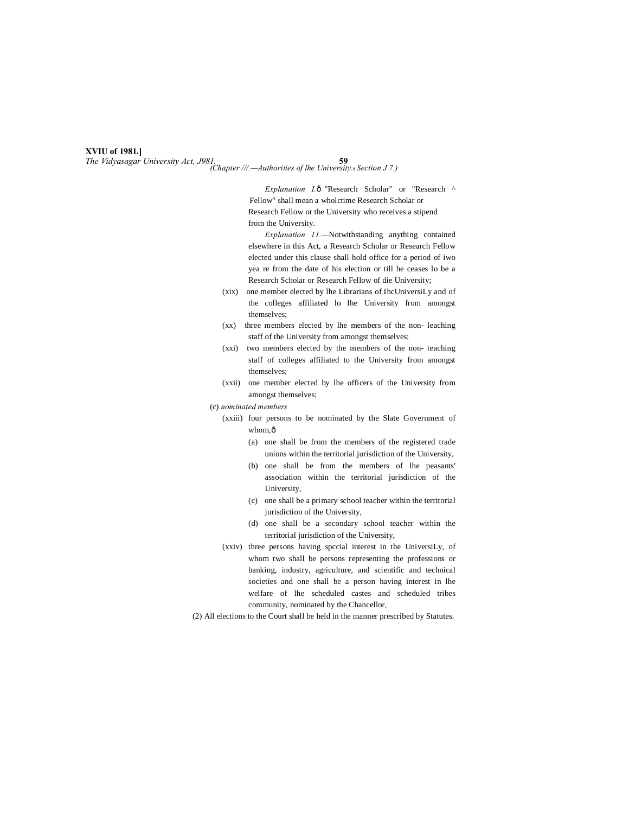#### **XVIU of 1981.]**

*The Vidyasagar University Act, J981.* **59** *(Chapter ///.—Authorities of lhe University.*—*Section J 7.)*

*Explanation I.* ô "Research Scholar" or "Research ^ Fellow" shall mean a wholctime Research Scholar or Research Fellow or the University who receives a stipend from the University.

*Explanation 11.—*Notwithstanding anything contained elsewhere in this Act, a Research Scholar or Research Fellow elected under this clause shall hold office for a period of iwo yea re from the date of his election or till he ceases lo be a Research Scholar or Research Fellow of die University;

- (xix) one member elected by lhe Librarians of IhcUniversiLy and of the colleges affiliated lo lhe University from amongst themselves;
- (xx) three members elected by lhe members of the non- leaching staff of the University from amongst themselves;
- (xxi) two members elected by the members of the non- teaching staff of colleges affiliated to the University from amongst themselves;
- (xxii) one member elected by lhe officers of the University from amongst themselves;
- (c) *nominated members*
	- (xxiii) four persons to be nominated by the Slate Government of whom, $\hat{0}$ 
		- (a) one shall be from the members of the registered trade unions within the territorial jurisdiction of the University,
		- (b) one shall be from the members of lhe peasants' association within the territorial jurisdiction of the University,
		- (c) one shall be a primary school teacher within the territorial jurisdiction of the University,
		- (d) one shall be a secondary school teacher within the territorial jurisdiction of the University,
	- (xxiv) three persons having spccial interest in the UniversiLy, of whom two shall be persons representing the professions or banking, industry, agriculture, and scientific and technical societies and one shall be a person having interest in lhe welfare of lhe scheduled castes and scheduled tribes community, nominated by the Chancellor,
- (2) All elections to the Court shall be held in the manner prescribed by Statutes.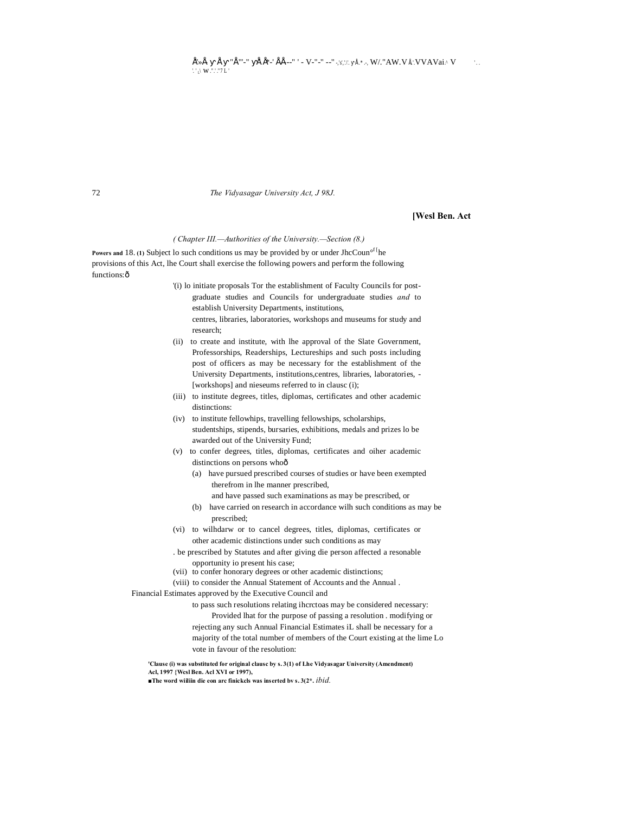72 *The Vidyasagar University Act, J 98J.*

#### **[Wesl Ben. Act**

#### *( Chapter III.—Authorities of the University.—Section (8.)*

**Powers and 18. (1) Subject lo such conditions us may be provided by or under JhcCoun<sup>of [</sup>he** provisions of this Act, lhe Court shall exercise the following powers and perform the following functions: ô

- '(i) lo initiate proposals Tor the establishment of Faculty Councils for postgraduate studies and Councils for undergraduate studies *and* to establish University Departments, institutions,
	- centres, libraries, laboratories, workshops and museums for study and research;
- (ii) to create and institute, with lhe approval of the Slate Government, Professorships, Readerships, Lectureships and such posts including post of officers as may be necessary for the establishment of the University Departments, institutions,centres, libraries, laboratories, - [workshops] and nieseums referred to in clausc (i);
- (iii) to institute degrees, titles, diplomas, certificates and other academic distinctions:
- (iv) to institute fellowhips, travelling fellowships, scholarships, studentships, stipends, bursaries, exhibitions, medals and prizes lo be awarded out of the University Fund;
- (v) to confer degrees, titles, diplomas, certificates and oiher academic distinctions on persons whoô
	- (a) have pursued prescribed courses of studies or have been exempted therefrom in lhe manner prescribed,
		- and have passed such examinations as may be prescribed, or
	- (b) have carried on research in accordance wilh such conditions as may be prescribed;
- (vi) to wilhdarw or to cancel degrees, titles, diplomas, certificates or other academic distinctions under such conditions as may
- . be prescribed by Statutes and after giving die person affected a resonable opportunity io present his case;
- (vii) to confer honorary degrees or other academic distinctions;
- (viii) to consider the Annual Statement of Accounts and the Annual .

Financial Estimates approved by the Executive Council and

to pass such resolutions relating ihcrctoas may be considered necessary: Provided lhat for the purpose of passing a resolution . modifying or rejecting any such Annual Financial Estimates iL shall be necessary for a majority of the total number of members of the Court existing at the lime Lo vote in favour of the resolution:

**'Clause (i) was substituted for original clausc by s. 3(1) of Lhe Vidyasagar University (Amendment) Acl, 1997 {Wcsl Ben. Acl XVI or 1997),**

**■The word wiiliin die eon arc finickcls was inserted bv s. 3(2\*.** *ibid.*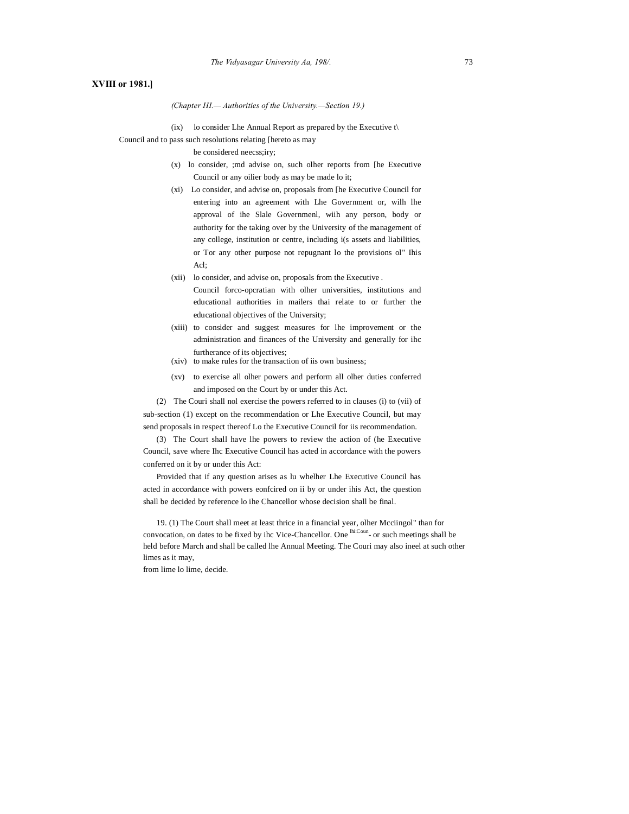#### **XVIII or 1981.]**

#### *(Chapter HI.— Authorities of the University.—Section 19.)*

(ix) lo consider Lhe Annual Report as prepared by the Executive  $t\setminus$ 

Council and to pass such resolutions relating [hereto as may

be considered neecss;iry;

- (x) lo consider, ;md advise on, such olher reports from [he Executive Council or any oilier body as may be made lo it;
- (xi) Lo consider, and advise on, proposals from [he Executive Council for entering into an agreement with Lhe Government or, wilh lhe approval of ihe Slale Governmenl, wiih any person, body or authority for the taking over by the University of the management of any college, institution or centre, including i(s assets and liabilities, or Tor any other purpose not repugnant lo the provisions ol" Ihis Acl;
- (xii) lo consider, and advise on, proposals from the Executive . Council forco-opcratian with olher universities, institutions and educational authorities in mailers thai relate to or further the educational objectives of the University;
- (xiii) to consider and suggest measures for lhe improvement or the administration and finances of the University and generally for ihc furtherance of its objectives;
- (xiv) to make rules for the transaction of iis own business;
- (xv) to exercise all olher powers and perform all olher duties conferred and imposed on the Court by or under this Act.

(2) The Couri shall nol exercise the powers referred to in clauses (i) to (vii) of sub-section (1) except on the recommendation or Lhe Executive Council, but may send proposals in respect thereof Lo the Executive Council for iis recommendation.

(3) The Court shall have lhe powers to review the action of (he Executive Council, save where Ihc Executive Council has acted in accordance with the powers conferred on it by or under this Act:

Provided that if any question arises as lu whelher Lhe Executive Council has acted in accordance with powers eonfcired on ii by or under ihis Act, the question shall be decided by reference lo ihe Chancellor whose decision shall be final.

19. (1) The Court shall meet at least thrice in a financial year, olher Mcciingol" than for convocation, on dates to be fixed by ihc Vice-Chancellor. One  $\frac{\text{hisCount}}{\text{circ}}$  or such meetings shall be held before March and shall be called lhe Annual Meeting. The Couri may also ineel at such other limes as it may,

from lime lo lime, decide.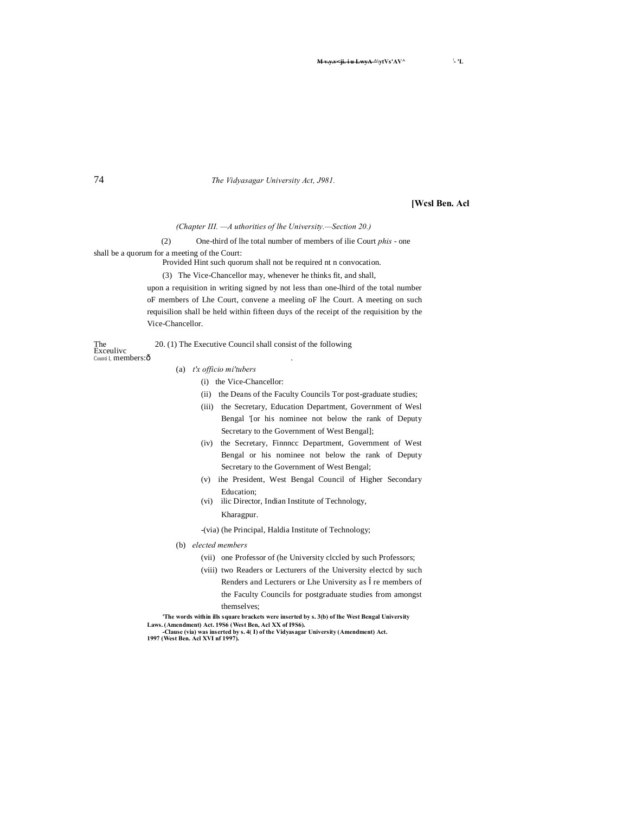<del>M v.i. i u LwyA ∆</del>\ytVs'AV

74 *The Vidyasagar University Act, J981.*

#### **[Wcsl Ben. Acl**

**- 'L**

*(Chapter III. —A uthorities of lhe University.—Section 20.)*

(2) One-third of lhe total number of members of ilie Court *phis* - one

shall be a quorum for a meeting of the Court:

Provided Hint such quorum shall not be required nt n convocation.

(3) The Vice-Chancellor may, whenever he thinks fit, and shall,

upon a requisition in writing signed by not less than one-lhird of the total number oF members of Lhe Court, convene a meeling oF lhe Court. A meeting on such requisilion shall be held within fifteen duys of the receipt of the requisition by the Vice-Chancellor.

The 20. (1) The Executive Council shall consist of the following Exceulivc Counti I, members: ô

#### (a) *t'x officio mi'tubers*

- (i) the Vice-Chancellor:
- (ii) the Deans of the Faculty Councils Tor post-graduate studies;
- (iii) the Secretary, Education Department, Government of Wesl Bengal '[or his nominee not below the rank of Deputy Secretary to the Government of West Bengal];
- (iv) the Secretary, Finnncc Department, Government of West Bengal or his nominee not below the rank of Deputy Secretary to the Government of West Bengal;
- (v) ihe President, West Bengal Council of Higher Secondary Education;
- (vi) ilic Director, Indian Institute of Technology, Kharagpur.

-(via) (he Principal, Haldia Institute of Technology;

- (b) *elected members*
	- (vii) one Professor of (he University clccled by such Professors;
	- (viii) two Readers or Lecturers of the University electcd by such Renders and Lecturers or Lhe University as re members of the Faculty Councils for postgraduate studies from amongst themselves;

**'The words within ills square brackets were inserted by s. 3(b) of lhe West Bengal University**  Laws. (Amendment) Act. 19S6 (West Ben, Acl XX of 19S6).<br>- Clause (via) was inserted by s. 4( I) of the Vidyasagar University (Amendment) Act.<br>1997 (West Ben. Acl XVI nf 1997).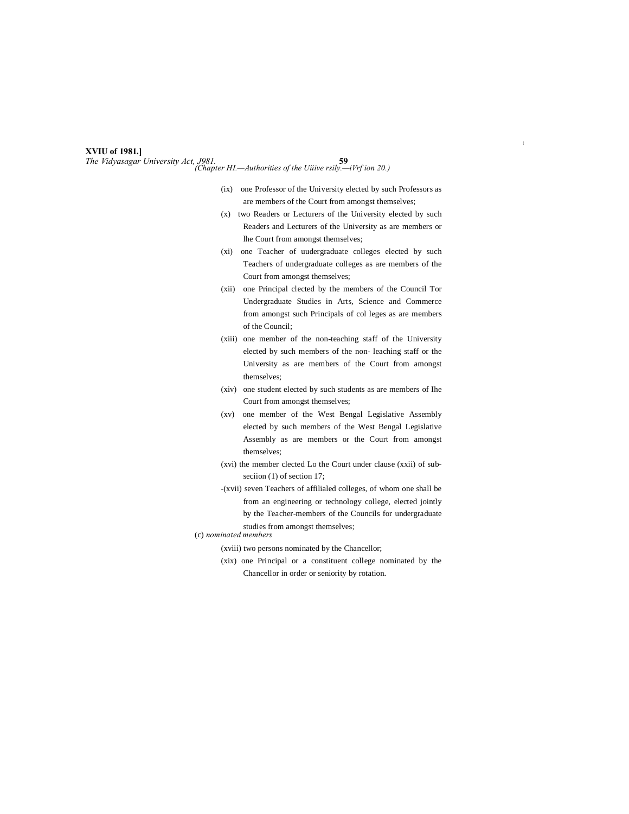#### **XVIU of 1981.]**

*The Vidyasagar University Act, J981.* **59** *(Chapter HI.—Authorities of the Uiiive rsily.—iVrf ion 20.)*

- (ix) one Professor of the University elected by such Professors as are members of the Court from amongst themselves;
- (x) two Readers or Lecturers of the University elected by such Readers and Lecturers of the University as are members or lhe Court from amongst themselves;
- (xi) one Teacher of uudergraduate colleges elected by such Teachers of undergraduate colleges as are members of the Court from amongst themselves;
- (xii) one Principal clected by the members of the Council Tor Undergraduate Studies in Arts, Science and Commerce from amongst such Principals of col leges as are members of the Council;
- (xiii) one member of the non-teaching staff of the University elected by such members of the non- leaching staff or the University as are members of the Court from amongst themselves;
- (xiv) one student elected by such students as are members of Ihe Court from amongst themselves;
- (xv) one member of the West Bengal Legislative Assembly elected by such members of the West Bengal Legislative Assembly as are members or the Court from amongst themselves;
- (xvi) the member clected Lo the Court under clause (xxii) of subseciion (1) of section 17;
- -(xvii) seven Teachers of affilialed colleges, of whom one shall be from an engineering or technology college, elected jointly by the Teacher-members of the Councils for undergraduate studies from amongst themselves;
- (c) *nominated members*
	- (xviii) two persons nominated by the Chancellor;
	- (xix) one Principal or a constituent college nominated by the Chancellor in order or seniority by rotation.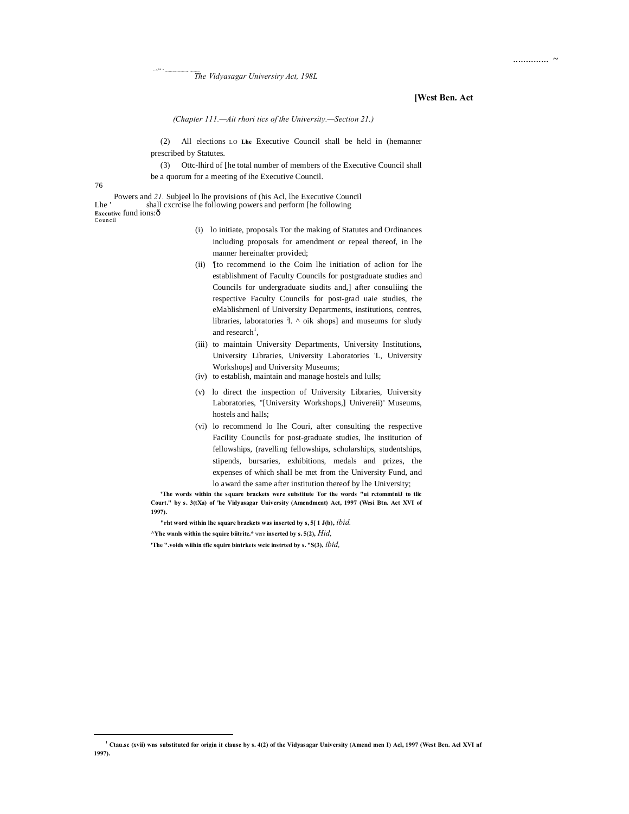#### **[West Ben. Act**

.............. ~

*(Chapter 111.—Ait rhori tics of the University.—Section 21.)*

(2) All elections LO **Lhe** Executive Council shall be held in (hemanner prescribed by Statutes.

(3) Ottc-lhird of [he total number of members of the Executive Council shall be a quorum for a meeting of ihe Executive Council.

76

-

 $\cdot$   $^{\text{AL}}$ 

<sup>J</sup> " .....................................

Powers and *21.* Subjeel lo lhe provisions of (his Acl, lhe Executive Council Lhe ' shall cxcrcise lhe following powers and perform [he following **Exccutive** fund ions: ô Coun cil

- (i) lo initiate, proposals Tor the making of Statutes and Ordinances including proposals for amendment or repeal thereof, in lhe manner hereinafter provided;
- (ii) '[to recommend io the Coim lhe initiation of aclion for lhe establishment of Faculty Councils for postgraduate studies and Councils for undergraduate siudits and,] after consuliing the respective Faculty Councils for post-grad uaie studies, the eMablishrnenl of University Departments, institutions, centres, libraries, laboratories 1. ^ oik shops] and museums for sludy and research<sup>1</sup>,
- (iii) to maintain University Departments, University Institutions, University Libraries, University Laboratories 'L, University Workshops] and University Museums;
- (iv) to establish, maintain and manage hostels and lulls;
- (v) lo direct the inspection of University Libraries, University Laboratories, "[University Workshops,] Univereii)' Museums, hostels and halls;
- (vi) lo recommend lo Ihe Couri, after consulting the respective Facility Councils for post-graduate studies, lhe institution of fellowships, (ravelling fellowships, scholarships, studentships, stipends, bursaries, exhibitions, medals and prizes, the expenses of which shall be met from the University Fund, and lo award the same after institution thereof by lhe University;

**'The words within the square brackets were substitute Tor the words "ui rctommtniJ to tlic Court." by s. 3(tXa) of 'he Vidyasagar University (Amendment) Act, 1997 (Wesi Btn. Act XVI of 1997).**

**"rht word within lhe square brackets was inserted by s, 5[ 1 J(b),** *ibid.*

**^Yhc wnnls within the squire biitritc.\*** were **inserted by s. 5(2),** *Hid,*

**'The ".voids wiihin tfic squire bintrkets wcic instrted by s. "S(3),** *ibid,*

**<sup>1</sup> Ctau.sc (xvii) wns substituted for origin it clause by s. 4(2) of the Vidyasagar University (Amend men I) Acl, 1997 (West Ben. Acl XVI nf 1997).**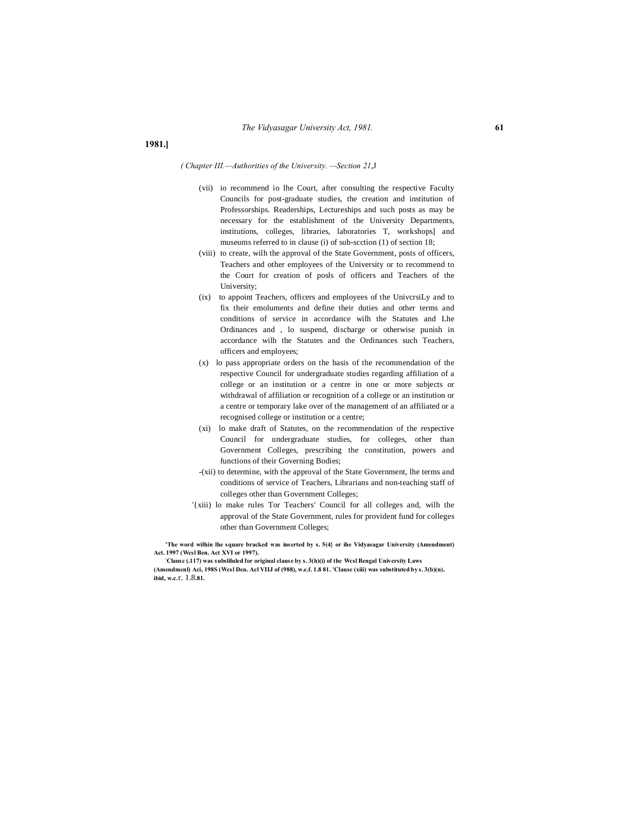#### *( Chapter III.—Authorities of the University. —Section 21*,J

- (vii) io recommend io lhe Court, after consulting the respective Faculty Councils for post-graduate studies, the creation and institution of Professorships. Readerships, Lectureships and such posts as may be necessary for the establishment of the University Departments, institutions, colleges, libraries, laboratories T, workshops] and museums referred to in clause (i) of sub-scction (1) of section 18;
- (viii) to create, wilh the approval of the State Government, posts of officers, Teachers and other employees of the University or to recommend to the Court for creation of posls of officers and Teachers of the University;
- (ix) to appoint Teachers, officers and employees of the UnivcrsiLy and to fix their emoluments and define their duties and other terms and conditions of service in accordance wilh the Statutes and Lhe Ordinances and , lo suspend, discharge or otherwise punish in accordance wilh the Statutes and the Ordinances such Teachers, officers and employees;
- (x) lo pass appropriate orders on the basis of the recommendation of the respective Council for undergraduate studies regarding affiliation of a college or an institution or a centre in one or more subjects or withdrawal of affiliation or recognition of a college or an institution or a centre or temporary lake over of the management of an affiliated or a recognised college or institution or a centre;
- (xi) lo make draft of Statutes, on the recommendation of the respective Council for undergraduate studies, for colleges, other than Government Colleges, prescribing the constitution, powers and functions of their Governing Bodies;
- -(xii) to determine, with the approval of the State Government, lhe terms and conditions of service of Teachers, Librarians and non-teaching staff of colleges other than Government Colleges;
- '{xiii) lo make rules Tor Teachers' Council for all colleges and, wilh the approval of the State Government, rules for provident fund for colleges other than Government Colleges;

**'The word wilhin lhe square bracked was inserted by s. 5(4} or ihe Vidyasagar University (Amendment) Act. 1997 (Wcsl Ben. Act XVI or 1997).**

**: Clausc (.117) was subsliluled for original clause by s. 3(h)(i) of the Wcsl Bengal University Laws** 

**(Amendmcnl) Aci, 198S (Wcsl Den. Acl VIIJ of (988), w.e.f. 1.8 81. 'Clause (xiii) was substituted by s. 3(b)(n), ibid, w.c**.r. 1.8**.81.**

**1981.]**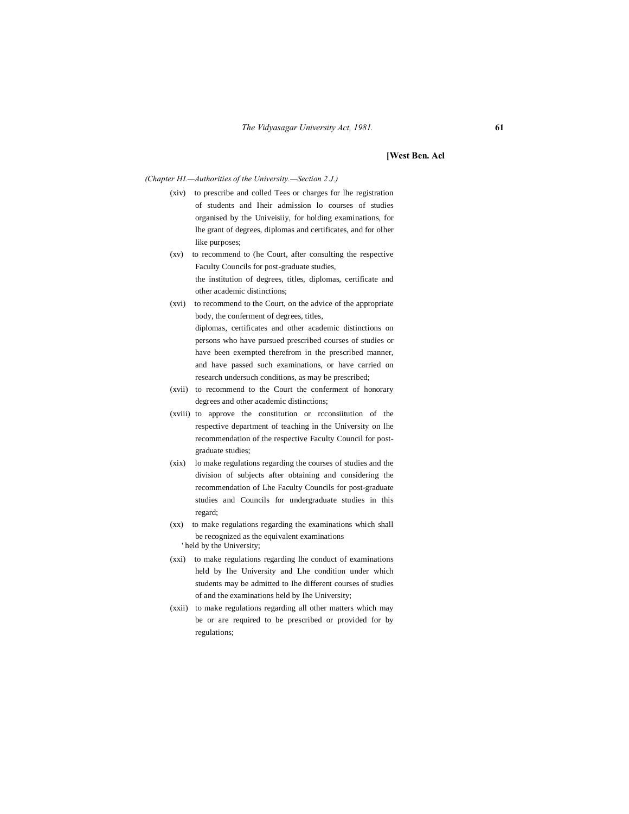#### **[West Ben. Acl**

*(Chapter HI.—Authorities of the University.—Section 2 J.)*

- (xiv) to prescribe and colled Tees or charges for lhe registration of students and Iheir admission lo courses of studies organised by the Univeisiiy, for holding examinations, for lhe grant of degrees, diplomas and certificates, and for olher like purposes;
- (xv) to recommend to (he Court, after consulting the respective Faculty Councils for post-graduate studies, the institution of degrees, titles, diplomas, certificate and other academic distinctions;
- (xvi) to recommend to the Court, on the advice of the appropriate body, the conferment of degrees, titles, diplomas, certificates and other academic distinctions on persons who have pursued prescribed courses of studies or have been exempted therefrom in the prescribed manner, and have passed such examinations, or have carried on research undersuch conditions, as may be prescribed;
- (xvii) to recommend to the Court the conferment of honorary degrees and other academic distinctions;
- (xviii) to approve the constitution or rcconsiitution of the respective department of teaching in the University on lhe recommendation of the respective Faculty Council for postgraduate studies;
- (xix) lo make regulations regarding the courses of studies and the division of subjects after obtaining and considering the recommendation of Lhe Faculty Councils for post-graduate studies and Councils for undergraduate studies in this regard;
- (xx) to make regulations regarding the examinations which shall be recognized as the equivalent examinations ' held by the University;
- (xxi) to make regulations regarding lhe conduct of examinations held by lhe University and Lhe condition under which students may be admitted to Ihe different courses of studies of and the examinations held by Ihe University;
- (xxii) to make regulations regarding all other matters which may be or are required to be prescribed or provided for by regulations;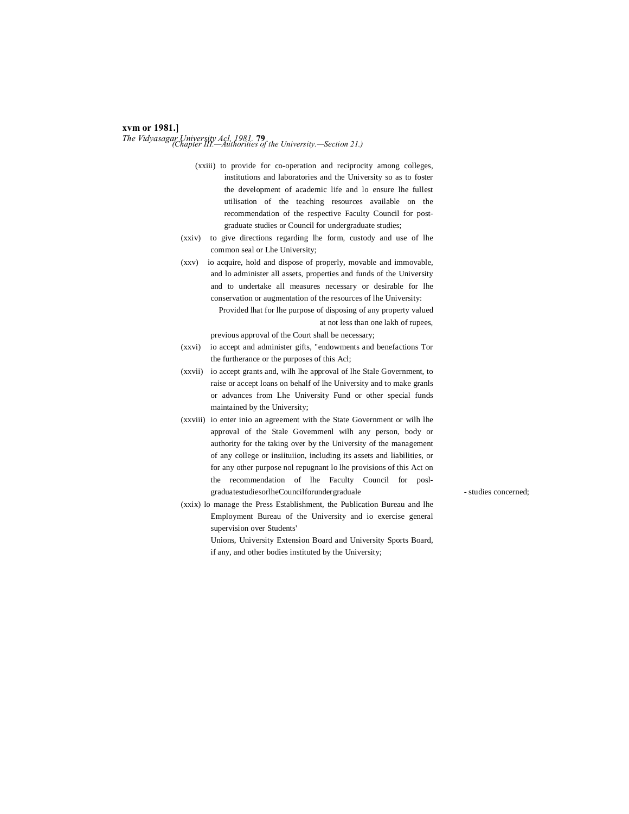### **xvm or 1981.]** *The Vidyasagar University Acl, 1981.* **<sup>79</sup>** *(Chapter III.—Authorities of the University.—Section 21.)*

- (xxiii) to provide for co-operation and reciprocity among colleges, institutions and laboratories and the University so as to foster the development of academic life and lo ensure lhe fullest utilisation of the teaching resources available on the recommendation of the respective Faculty Council for postgraduate studies or Council for undergraduate studies;
- (xxiv) to give directions regarding lhe form, custody and use of lhe common seal or Lhe University;
- (xxv) io acquire, hold and dispose of properly, movable and immovable, and lo administer all assets, properties and funds of the University and to undertake all measures necessary or desirable for lhe conservation or augmentation of the resources of lhe University:

Provided lhat for lhe purpose of disposing of any property valued at not less than one lakh of rupees,

previous approval of the Court shall be necessary;

- (xxvi) io accept and administer gifts, "endowments and benefactions Tor the furtherance or the purposes of this Acl;
- (xxvii) io accept grants and, wilh lhe approval of lhe Stale Government, to raise or accept loans on behalf of lhe University and to make granls or advances from Lhe University Fund or other special funds maintained by the University;
- (xxviii) io enter inio an agreement with the State Government or wilh lhe approval of the Stale Govemmenl wilh any person, body or authority for the taking over by the University of the management of any college or insiituiion, including its assets and liabilities, or for any other purpose nol repugnant lo lhe provisions of this Act on the recommendation of lhe Faculty Council for poslgraduatestudiesorlheCouncilforundergraduale - studies concerned;

(xxix) lo manage the Press Establishment, the Publication Bureau and lhe Employment Bureau of the University and io exercise general supervision over Students'

> Unions, University Extension Board and University Sports Board, if any, and other bodies instituted by the University;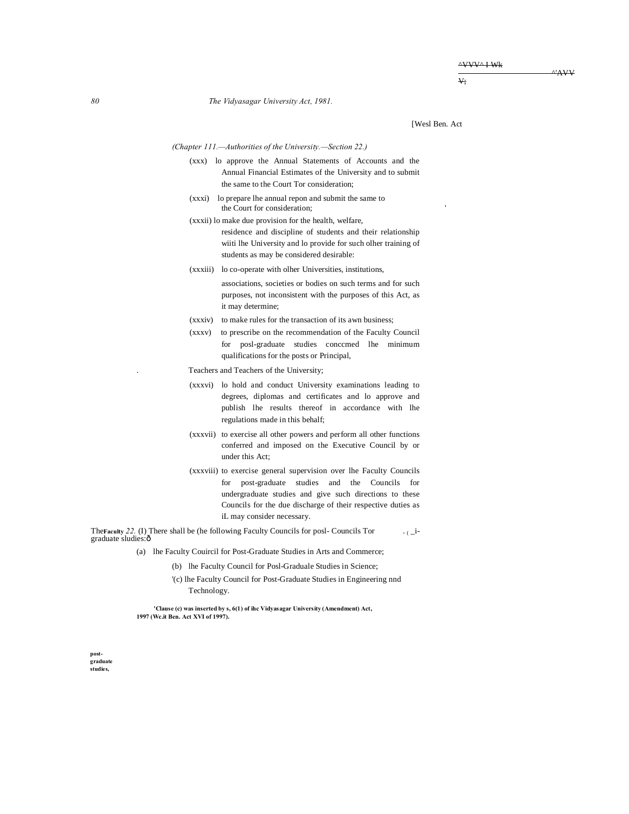^'AVV

 $\overline{V}$ 

*80 The Vidyasagar University Act, 1981.*

[Wesl Ben. Act

#### *(Chapter 111.—Authorities of the University.—Section 22.)*

- (xxx) lo approve the Annual Statements of Accounts and the Annual Financial Estimates of the University and to submit the same to the Court Tor consideration;
- (xxxi) lo prepare lhe annual repon and submit the same to the Court for consideration;
- (xxxii) lo make due provision for the health, welfare, residence and discipline of students and their relationship wiiti lhe University and lo provide for such olher training of students as may be considered desirable:
- (xxxiii) lo co-operate with olher Universities, institutions,
	- associations, societies or bodies on such terms and for such purposes, not inconsistent with the purposes of this Act, as it may determine;
- (xxxiv) to make rules for the transaction of its awn business;
- (xxxv) to prescribe on the recommendation of the Faculty Council for posl-graduate studies conccmed lhe minimum qualifications for the posts or Principal,
- . Teachers and Teachers of the University;
- (xxxvi) lo hold and conduct University examinations leading to degrees, diplomas and certificates and lo approve and publish lhe results thereof in accordance with lhe regulations made in this behalf;
- (xxxvii) to exercise all other powers and perform all other functions conferred and imposed on the Executive Council by or under this Act;
- (xxxviii) to exercise general supervision over lhe Faculty Councils for post-graduate studies and the Councils for undergraduate studies and give such directions to these Councils for the due discharge of their respective duties as iL may consider necessary.

The**Faculty** *22.* (I) There shall be (he following Faculty Councils for posl- Councils Tor . ( \_i- graduate sludies:—

- (a) lhe Faculty Couircil for Post-Graduate Studies in Arts and Commerce;
	- (b) lhe Faculty Council for Posl-Graduale Studies in Science;
	- '(c) lhe Faculty Council for Post-Graduate Studies in Engineering nnd Technology.

**'Clause (c) was inserted by s, 6(1) of ihc Vidyasagar University (Amendment) Act, 1997 (Wc.it Ben. Act XVI of 1997).**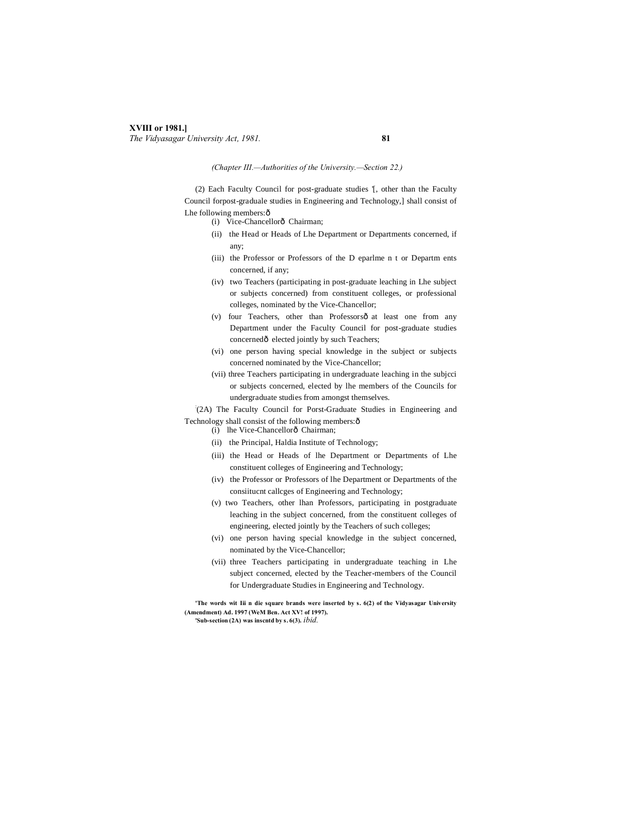#### **XVIII or 1981.]** *The Vidyasagar University Act, 1981.* **81**

### *(Chapter III.—Authorities of the University.—Section 22.)*

(2) Each Faculty Council for post-graduate studies '[, other than the Faculty Council forpost-graduale studies in Engineering and Technology,] shall consist of Lhe following members: ô

- (i) Vice-Chancellorô Chairman;
- (ii) the Head or Heads of Lhe Department or Departments concerned, if any;
- (iii) the Professor or Professors of the D eparlme n t or Departm ents concerned, if any;
- (iv) two Teachers (participating in post-graduate leaching in Lhe subject or subjects concerned) from constituent colleges, or professional colleges, nominated by the Vice-Chancellor;
- (v) four Teachers, other than Professorsô at least one from any Department under the Faculty Council for post-graduate studies concerned $ô$  elected jointly by such Teachers;
- (vi) one person having special knowledge in the subject or subjects concerned nominated by the Vice-Chancellor;
- (vii) three Teachers participating in undergraduate leaching in the subjcci or subjects concerned, elected by lhe members of the Councils for undergraduate studies from amongst themselves.

: (2A) The Faculty Council for Porst-Graduate Studies in Engineering and Technology shall consist of the following members: ô

- (i) lhe Vice-Chancellorô Chairman;
	- (ii) the Principal, Haldia Institute of Technology;
	- (iii) the Head or Heads of lhe Department or Departments of Lhe constituent colleges of Engineering and Technology;
	- (iv) the Professor or Professors of lhe Department or Departments of the consiitucnt callcges of Engineering and Technology;
	- (v) two Teachers, other lhan Professors, participating in postgraduate leaching in the subject concerned, from the constituent colleges of engineering, elected jointly by the Teachers of such colleges;
	- (vi) one person having special knowledge in the subject concerned, nominated by the Vice-Chancellor;
	- (vii) three Teachers participating in undergraduate teaching in Lhe subject concerned, elected by the Teacher-members of the Council for Undergraduate Studies in Engineering and Technology.

**'The words wit Iii n die square brands were inserted by s. 6(2) of the Vidyasagar University (Amendment) Ad. 1997 (WeM Ben. Act XV! of 1997).**

**'Sub-section (2A) was inscntd by s. 6(3).** *ibid.*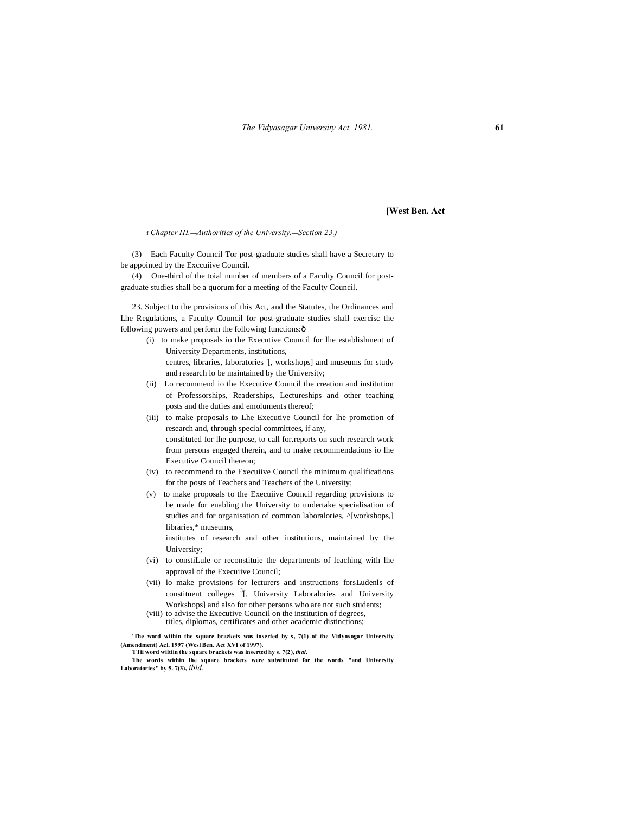**[West Ben. Act**

**f** *Chapter HI.***—***Authorities of the University.***—***Section 23.)*

(3) Each Faculty Council Tor post-graduate studies shall have a Secretary to be appointed by the Exccuiive Council.

(4) One-third of the toial number of members of a Faculty Council for postgraduate studies shall be a quorum for a meeting of the Faculty Council.

23. Subject to the provisions of this Act, and the Statutes, the Ordinances and Lhe Regulations, a Faculty Council for post-graduate studies shall exercisc the following powers and perform the following functions: $\delta$ 

- (i) to make proposals io the Executive Council for lhe establishment of University Departments, institutions, centres, libraries, laboratories '[, workshops] and museums for study and research lo be maintained by the University;
- (ii) Lo recommend io the Executive Council the creation and institution of Professorships, Readerships, Lectureships and other teaching posts and the duties and emoluments thereof;
- (iii) to make proposals to Lhe Executive Council for lhe promotion of research and, through special committees, if any, constituted for lhe purpose, to call for.reports on such research work from persons engaged therein, and to make recommendations io lhe Executive Council thereon;
- (iv) to recommend to the Execuiive Council the minimum qualifications for the posts of Teachers and Teachers of the University;
- (v) to make proposals to the Execuiive Council regarding provisions to be made for enabling the University to undertake specialisation of studies and for organisation of common laboralories,  $\gamma$ [workshops,] libraries,\* museums,

institutes of research and other institutions, maintained by the University;

- (vi) to constiLule or reconstituie the departments of leaching with lhe approval of the Execuiive Council;
- (vii) lo make provisions for lecturers and instructions forsLudenls of constituent colleges  $3$ [, University Laboralories and University Workshops] and also for other persons who are not such students;
- (viii) to advise the Executive Council on the institution of degrees, titles, diplomas, certificates and other academic distinctions;

**'The word within the square brackets was inserted by s, 7(1) of the Vidynsogar University (Amendment) Acl. 1997 (Wcsl Ben. Act XVI of 1997).**

**TTii word wiltiin the square brackets was inserted hy s. 7(2),** *thai.* **The words within lhe square brackets were substituted for the words "and University Laboratories" by 5. 7(3),** *ibid.*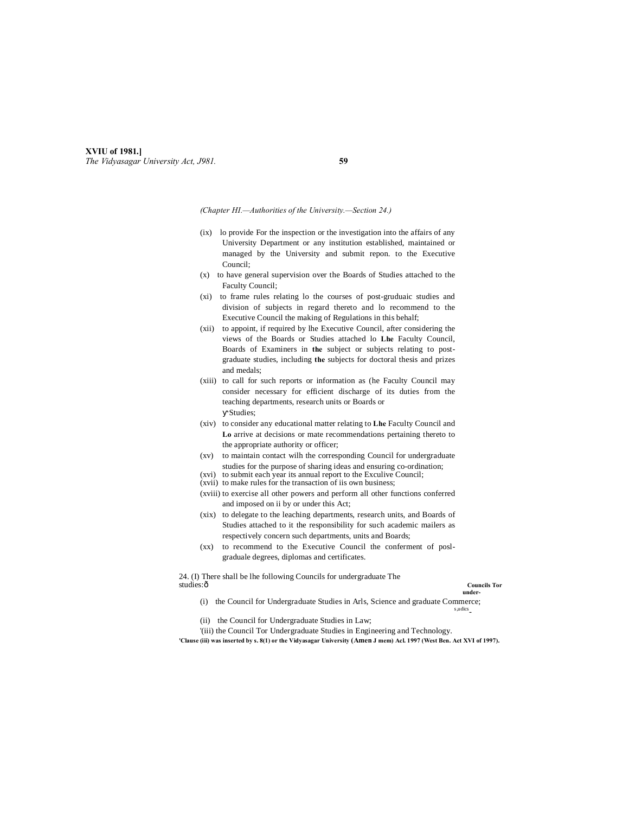#### **XVIU of 1981.]** *The Vidyasagar University Act, J981.* **59**

*(Chapter HI.—Authorities of the University.—Section 24.)*

- (ix) lo provide For the inspection or the investigation into the affairs of any University Department or any institution established, maintained or managed by the University and submit repon. to the Executive Council;
- (x) to have general supervision over the Boards of Studies attached to the Faculty Council;
- (xi) to frame rules relating lo the courses of post-gruduaic studies and division of subjects in regard thereto and lo recommend to the Executive Council the making of Regulations in this behalf;
- (xii) to appoint, if required by lhe Executive Council, after considering the views of the Boards or Studies attached lo **Lhe** Faculty Council, Boards of Examiners in **the** subject or subjects relating to postgraduate studies, including **the** subjects for doctoral thesis and prizes and medals;
- (xiii) to call for such reports or information as (he Faculty Council may consider necessary for efficient discharge of its duties from the teaching departments, research units or Boards or Studies;
- (xiv) to consider any educational matter relating to **Lhe** Faculty Council and **Lo** arrive at decisions or mate recommendations pertaining thereto to the appropriate authority or officer;
- (xv) to maintain contact wilh the corresponding Council for undergraduate studies for the purpose of sharing ideas and ensuring co-ordination;
- (xvi) to submit each year its annual report to the Exculive Council;
- (xvii) to make rules for the transaction of iis own business;
- (xviii) to exercise all other powers and perform all other functions conferred and imposed on ii by or under this Act;
- (xix) to delegate to the leaching departments, research units, and Boards of Studies attached to it the responsibility for such academic mailers as respectively concern such departments, units and Boards;
- (xx) to recommend to the Executive Council the conferment of poslgraduale degrees, diplomas and certificates.

24. (I) There shall be lhe following Councils for undergraduate The studies:— **Councils Tor**

#### **under-**

- (i) the Council for Undergraduate Studies in Arls, Science and graduate Commerce; s,udics-
- (ii) the Council for Undergraduate Studies in Law;

'(iii) the Council Tor Undergraduate Studies in Engineering and Technology.

**'Clause (iii) was inserted by s. 8(1) or the Vidyasagar University (Amen J mem) Acl. 1997 (West Ben. Act XVI of 1997).**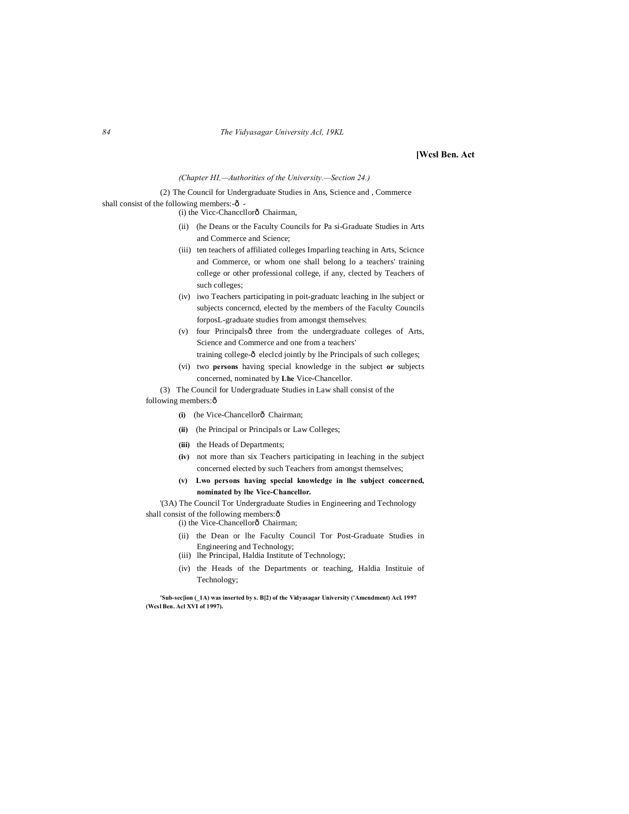#### **[Wcsl Ben. Act**

#### *(Chapter HI,—Authorities of the University.—Section 24.)*

(2) The Council for Undergraduate Studies in Ans, Science and , Commerce shall consist of the following members: $-6$ 

(i) the Vicc-Chancellorô Chairman,

- (ii) (he Deans or the Faculty Councils for Pa si-Graduate Studies in Arts and Commerce and Science;
- (iii) ten teachers of affiliated colleges Imparling teaching in Arts, Scicnce and Commerce, or whom one shall belong lo a teachers' training college or other professional college, if any, clected by Teachers of such colleges;
- (iv) iwo Teachers participating in poit-graduatc leaching in lhe subject or subjects concerncd, elected by the members of the Faculty Councils forposL-graduate studies from amongst themselves:
- $(v)$  four Principalsô three from the undergraduate colleges of Arts, Science and Commerce and one from a teachers'
- training college- $\hat{o}$  eleclcd jointly by lhe Principals of such colleges; (vi) two **persons** having special knowledge in the subject **or** subjects
- concerned, nominated by **Lhe** Vice-Chancellor.

(3) The Council for Undergraduate Studies in Law shall consist of the following members: ô

- **(i)** (he Vice-Chancellorô Chairman;
- **(ii)** (he Principal or Principals or Law Colleges;
- **(iii)** the Heads of Departments;
- **(iv)** not more than six Teachers participating in leaching in the subject concerned elected by such Teachers from amongst themselves;
- **(v) Lwo persons having special knowledge in lhe subject concerned, nominated by lhe Vice-Chancellor.**

'(3A) The Council Tor Undergraduate Studies in Engineering and Technology shall consist of the following members: $\hat{o}$ 

- (i) the Vice-Chancellorô Chairman;
- (ii) the Dean or lhe Faculty Council Tor Post-Graduate Studies in Engineering and Technology;
- (iii) lhe Principal, Haldia Institute of Technology;
- (iv) the Heads of the Departments or teaching, Haldia Instituie of Technology;

**'Sub-sec[ion (\_1A) was inserted by s. B[2) of the Vidyasagar University ('Amendment) Acl. 1997 (Wcsl Ben. Acl XVI of 1997).**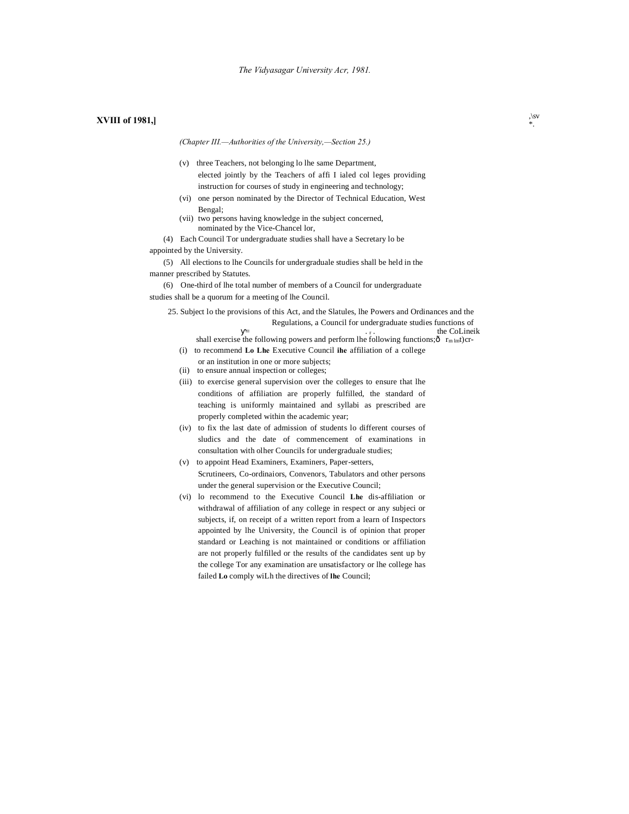## **SVIII of 1981,**  $\int_{\gamma}^{1/8V}$

*(Chapter III.—Authorities of the University,—Section 25.)*

- (v) three Teachers, not belonging lo lhe same Department, elected jointly by the Teachers of affi I ialed col leges providing instruction for courses of study in engineering and technology;
- (vi) one person nominated by the Director of Technical Education, West Bengal;
- (vii) two persons having knowledge in the subject concerned, nominated by the Vice-Chancel lor,
- (4) Each Council Tor undergraduate studies shall have a Secretary lo be
- appointed by the University.

(5) All elections to lhe Councils for undergraduale studies shall be held in the manner prescribed by Statutes.

(6) One-third of lhe total number of members of a Council for undergraduate studies shall be a quorum for a meeting of lhe Council.

25. Subject lo the provisions of this Act, and the Slatules, lhe Powers and Ordinances and the Regulations, a Council for undergraduate studies functions of  $=$  the CoLineik shall exercise the following powers and perform lhe following functions; $\hat{\sigma}$  r<sub>m lm</sub>t)cr-(i) to recommend **Lo Lhe** Executive Council **ihe** affiliation of a college

- or an institution in one or more subjects;
- (ii) to ensure annual inspection or colleges;
- (iii) to exercise general supervision over the colleges to ensure that lhe conditions of affiliation are properly fulfilled, the standard of teaching is uniformly maintained and syllabi as prescribed are properly completed within the academic year;
- (iv) to fix the last date of admission of students lo different courses of sludics and the date of commencement of examinations in consultation with olher Councils for undergraduale studies;
- (v) to appoint Head Examiners, Examiners, Paper-setters, Scrutineers, Co-ordinaiors, Convenors, Tabulators and other persons under the general supervision or the Executive Council;
- (vi) lo recommend to the Executive Council **Lhe** dis-affiliation or withdrawal of affiliation of any college in respect or any subjeci or subjects, if, on receipt of a written report from a learn of Inspectors appointed by lhe University, the Council is of opinion that proper standard or Leaching is not maintained or conditions or affiliation are not properly fulfilled or the results of the candidates sent up by the college Tor any examination are unsatisfactory or lhe college has failed **Lo** comply wiLh the directives of **lhe** Council;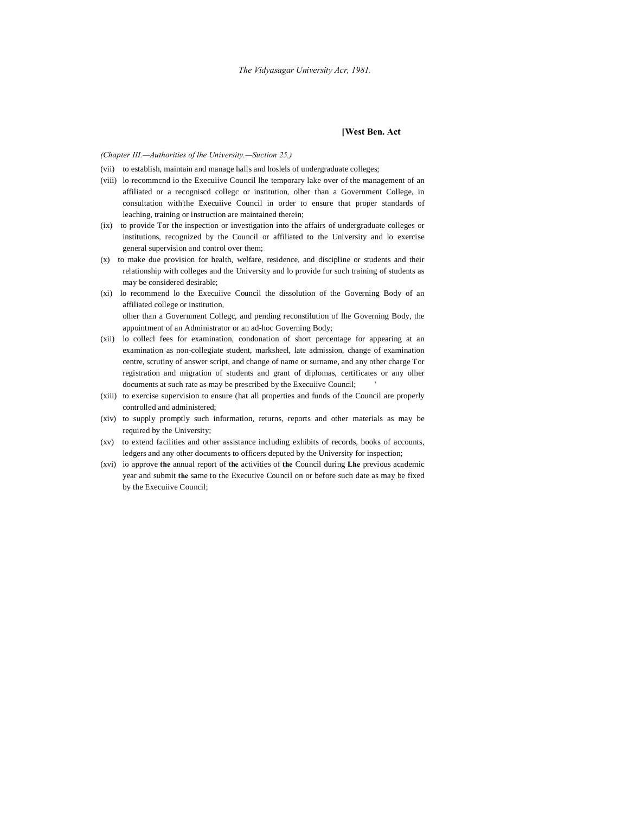#### **[West Ben. Act**

#### *(Chapter III.—Authorities of lhe University.—Suction 25.)*

- (vii) to establish, maintain and manage halls and hoslels of undergraduate colleges;
- (viii) lo recommcnd io the Execuiive Council lhe temporary lake over of the management of an affiliated or a recogniscd collegc or institution, olher than a Government College, in consultation with'the Execuiive Council in order to ensure that proper standards of leaching, training or instruction are maintained therein;
- (ix) to provide Tor the inspection or investigation into the affairs of undergraduate colleges or institutions, recognized by the Council or affiliated to the University and lo exercise general supervision and control over them;
- (x) to make due provision for health, welfare, residence, and discipline or students and their relationship with colleges and the University and lo provide for such training of students as may be considered desirable;
- (xi) lo recommend lo the Execuiive Council the dissolution of the Governing Body of an affiliated college or institution, olher than a Government Collegc, and pending reconstilution of lhe Governing Body, the

appointment of an Administrator or an ad-hoc Governing Body;

- (xii) lo collecl fees for examination, condonation of short percentage for appearing at an examination as non-collegiate student, marksheel, late admission, change of examination centre, scrutiny of answer script, and change of name or surname, and any other charge Tor registration and migration of students and grant of diplomas, certificates or any olher documents at such rate as may be prescribed by the Execuiive Council; '
- (xiii) to exercise supervision to ensure (hat all properties and funds of the Council are properly controlled and administered;
- (xiv) to supply promptly such information, returns, reports and other materials as may be required by the University;
- (xv) to extend facilities and other assistance including exhibits of records, books of accounts, ledgers and any other documents to officers deputed by the University for inspection;
- (xvi) io approve **the** annual report of **the** activities of **the** Council during **Lhe** previous academic year and submit **the** same to the Executive Council on or before such date as may be fixed by the Execuiive Council;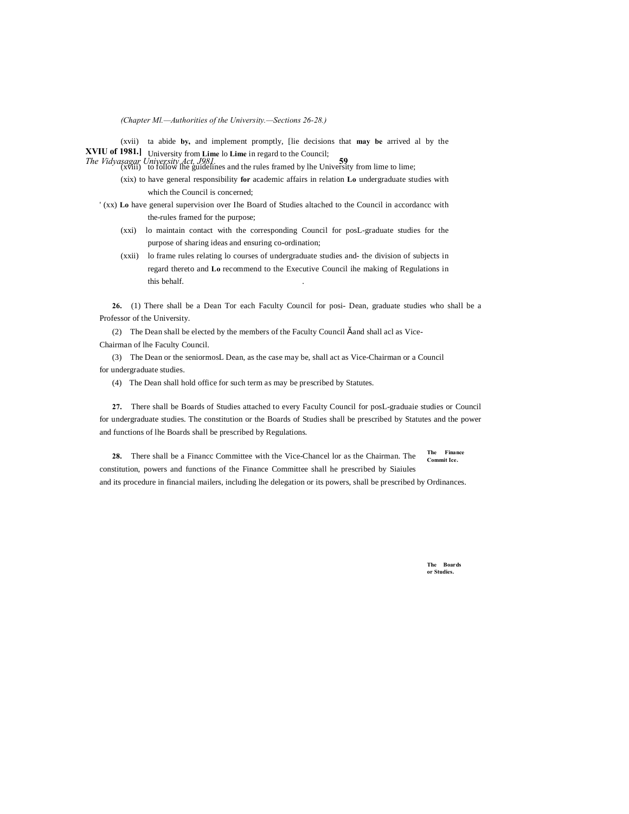*(Chapter Ml.—Authorities of the University.—Sections 26-28.)*

**XVIU of 1981.]** University from **Lime** lo **Lime** in regard to the Council; (xvii) ta abide **by,** and implement promptly, [lie decisions that **may be** arrived al by the

**The Vidyasagar University Act, J981**<br>
(xviii) to follow lhe guidelines and the rules framed by lhe University from lime to lime;

- (xix) to have general responsibility **for** academic affairs in relation **Lo** undergraduate studies with which the Council is concerned;
- ' (xx) **Lo** have general supervision over Ihe Board of Studies altached to the Council in accordancc with the-rules framed for the purpose;
	- (xxi) lo maintain contact with the corresponding Council for posL-graduate studies for the purpose of sharing ideas and ensuring co-ordination;
	- (xxii) lo frame rules relating lo courses of undergraduate studies and- the division of subjects in regard thereto and **Lo** recommend to the Executive Council ihe making of Regulations in this behalf. .

**26.** (1) There shall be a Dean Tor each Faculty Council for posi- Dean, graduate studies who shall be a Professor of the University.

(2) The Dean shall be elected by the members of the Faculty Council  $\check{s}$  and shall acl as Vice-

Chairman of lhe Faculty Council.

(3) The Dean or the seniormosL Dean, as the case may be, shall act as Vice-Chairman or a Council for undergraduate studies.

(4) The Dean shall hold office for such term as may be prescribed by Statutes.

**27.** There shall be Boards of Studies attached to every Faculty Council for posL-graduaie studies or Council for undergraduate studies. The constitution or the Boards of Studies shall be prescribed by Statutes and the power and functions of lhe Boards shall be prescribed by Regulations.

**The Finance Commit Ice. 28.** There shall be a Financc Committee with the Vice-Chancel lor as the Chairman. The constitution, powers and functions of the Finance Committee shall he prescribed by Siaiules and its procedure in financial mailers, including lhe delegation or its powers, shall be prescribed by Ordinances.

> **The Boards or Studies.**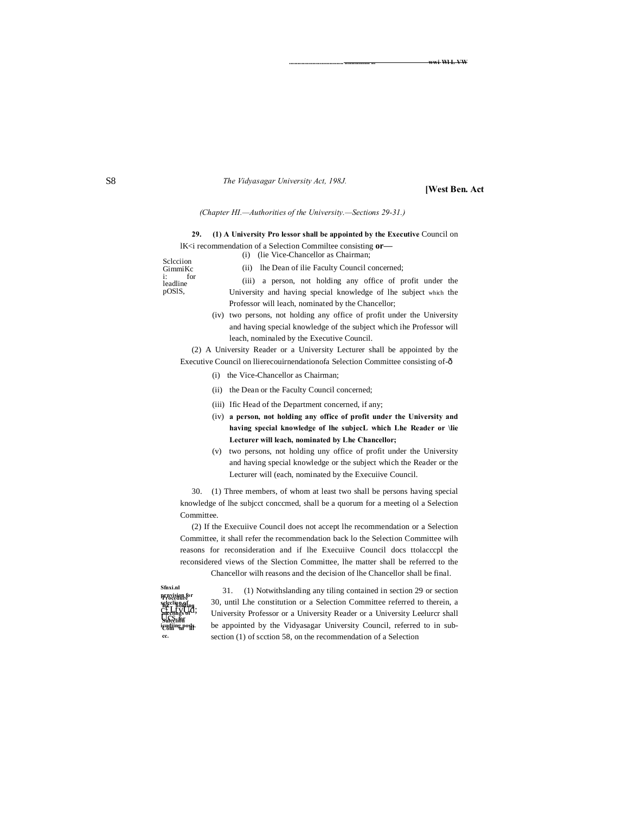#### **....................................... .................. ... wwi-Wl L VW**

#### *The Vidyasagar University Act, 198J.*

#### **[West Ben. Act**

#### *(Chapter HI.—Authorities of the University.—Sections 29-31.)*

**29. (1) A University Pro lessor shall be appointed by the Executive** Council on lK<i recommendation of a Selection Commiltee consisting **or—** (i) (lie Vice-Chancellor as Chairman;

Sclcciion GimmiKc<br>i: for i: for leadline pOSlS,

- (ii) lhe Dean of ilie Faculty Council concerned; (iii) a person, not holding any office of profit under the University and having special knowledge of lhe subject which the Professor will leach, nominated by the Chancellor;
- (iv) two persons, not holding any office of profit under the University and having special knowledge of the subject which ihe Professor will leach, nominaled by the Executive Council.

(2) A University Reader or a University Lecturer shall be appointed by the Executive Council on llierecouirnendationofa Selection Committee consisting of-ô

- (i) the Vice-Chancellor as Chairman;
- (ii) the Dean or the Faculty Council concerned;
- (iii) Ific Head of the Department concerned, if any;
- (iv) **a person, not holding any office of profit under the University and having special knowledge of lhe subjecL which Lhe Reader or \lie Lecturer will leach, nominated by Lhe Chancellor;**
- (v) two persons, not holding uny office of profit under the University and having special knowledge or the subject which the Reader or the Lecturer will (each, nominated by the Execuiive Council.

30. (1) Three members, of whom at least two shall be persons having special knowledge of lhe subjcct conccmed, shall be a quorum for a meeting ol a Selection Committee.

(2) If the Execuiive Council does not accept lhe recommendation or a Selection Committee, it shall refer the recommendation back lo the Selection Committee wilh reasons for reconsideration and if lhe Execuiive Council docs ttolacccpl the reconsidered views of the Slection Committee, lhe matter shall be referred to the Chancellor wilh reasons and the decision of lhe Chancellor shall be final.

**Procedure prnvision for for holding mcclings of Sulcclion**  E<del>VIII "In</del>P" <del>III</del> **cc. Sfnxi.nl selcclion of c£LtvUd;** meetings <del>d</del><br>Globalith **icudiing posls.**

31. (1) Notwithslanding any tiling contained in section 29 or section 30, until Lhe constitution or a Selection Committee referred to therein, a University Professor or a University Reader or a University Leelurcr shall be appointed by the Vidyasagar University Council, referred to in subsection (1) of scction 58, on the recommendation of a Selection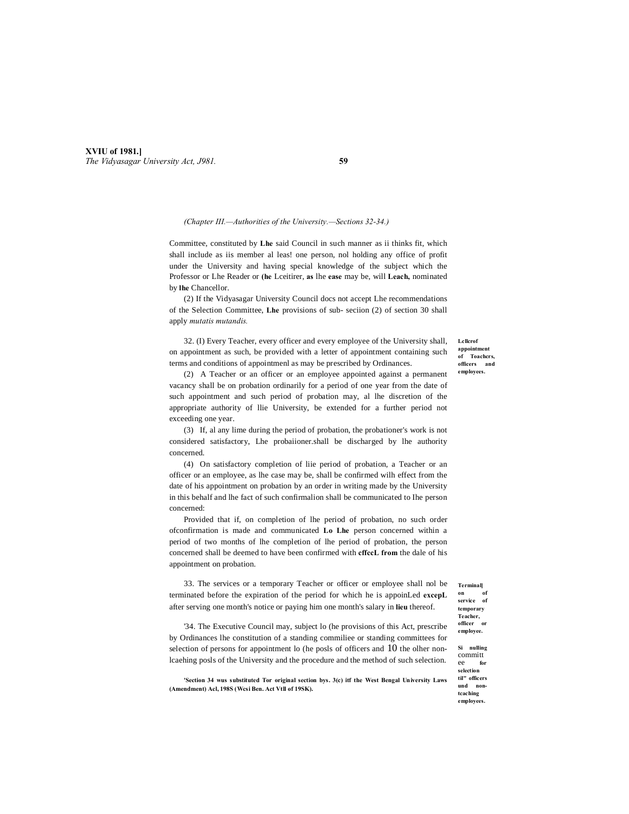**XVIU of 1981.]** *The Vidyasagar University Act, J981.* **59**

#### *(Chapter III.—Authorities of the University.—Sections 32-34.)*

Committee, constituted by **Lhe** said Council in such manner as ii thinks fit, which shall include as iis member al leas! one person, nol holding any office of profit under the University and having special knowledge of the subject which the Professor or Lhe Reader or **(he** Lceitirer, **as** lhe **ease** may be, will **Leach,** nominated by **lhe** Chancellor.

(2) If the Vidyasagar University Council docs not accept Lhe recommendations of the Selection Committee, **Lhe** provisions of sub- seciion (2) of section 30 shall apply *mutatis mutandis.*

32. (I) Every Teacher, every officer and every employee of the University shall, on appointment as such, be provided with a letter of appointment containing such terms and conditions of appointmenl as may be prescribed by Ordinances.

(2) A Teacher or an officer or an employee appointed against a permanent vacancy shall be on probation ordinarily for a period of one year from the date of such appointment and such period of probation may, al lhe discretion of the appropriate authority of llie University, be extended for a further period not exceeding one year.

(3) If, al any lime during the period of probation, the probationer's work is not considered satisfactory, Lhe probaiioner.shall be discharged by lhe authority concerned.

(4) On satisfactory completion of liie period of probation, a Teacher or an officer or an employee, as lhe case may be, shall be confirmed wilh effect from the date of his appointment on probation by an order in writing made by the University in this behalf and lhe fact of such confirmalion shall be communicated to Ihe person concerned:

Provided that if, on completion of lhe period of probation, no such order ofconfirmation is made and communicated **Lo Lhe** person concerned within a period of two months of lhe completion of lhe period of probation, the person concerned shall be deemed to have been confirmed with **cffccL from** the dale of his appointment on probation.

33. The services or a temporary Teacher or officer or employee shall nol be terminated before the expiration of the period for which he is appoinLed **excepL** after serving one month's notice or paying him one month's salary in **lieu** thereof.

'34. The Executive Council may, subject lo (he provisions of this Act, prescribe by Ordinances lhe constitution of a standing commiliee or standing committees for selection of persons for appointment lo (he posls of officers and  $10$  the olher nonlcaehing posls of the University and the procedure and the method of such selection.

**'Section 34 wus substituted Tor original section bys. 3(c) itf the West Bengal University Laws (Amendment) Acl, 198S (Wcsi Ben. Act Vtll of 19SK).**

**Lcllcrof appointment of Toachcrs, officers and employees.**

**Terminal] on of service of temporary Teacher, officer or employee.**

**Si nulling**  committ ee **for selection til" officers und nontcaching employees.**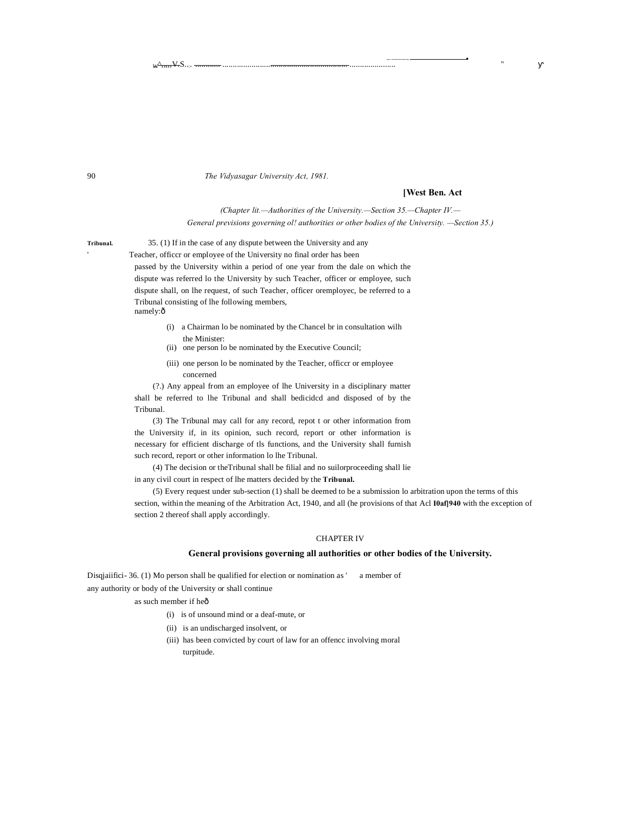90 *The Vidyasagar University Act, 1981.*

#### **[West Ben. Act**

**,... ................... ........................................................ ...■**

*(Chapter lit.—Authorities of the University.—Section 35.—Chapter IV.— General previsions governing ol! authorities or other bodies of the University. —Section 35.)*

'

**Tribunal.** 35. (1) If in the case of any dispute between the University and any Teacher, officcr or employee of the University no final order has been passed by the University within a period of one year from the dale on which the dispute was referred lo the University by such Teacher, officer or employee, such dispute shall, on lhe request, of such Teacher, officer oremployec, be referred to a Tribunal consisting of lhe following members, namely:ô

- (i) a Chairman lo be nominated by the Chancel br in consultation wilh the Minister:
- (ii) one person lo be nominated by the Executive Council;
- (iii) one person lo be nominated by the Teacher, officcr or employee concerned

(?.) Any appeal from an employee of lhe University in a disciplinary matter shall be referred to lhe Tribunal and shall bedicidcd and disposed of by the Tribunal.

(3) The Tribunal may call for any record, repot t or other information from the University if, in its opinion, such record, report or other information is necessary for efficient discharge of tls functions, and the University shall furnish such record, report or other information lo lhe Tribunal.

(4) The decision or theTribunal shall be filial and no suilorproceeding shall lie in any civil court in respect of lhe matters decided by the **Tribunal.**

(5) Every request under sub-section (1) shall be deemed to be a submission lo arbitration upon the terms of this section, within the meaning of the Arbitration Act, 1940, and all (he provisions of that Acl **I0af]940** with the exception of section 2 thereof shall apply accordingly.

#### CHAPTER IV

#### **General provisions governing all authorities or other bodies of the University.**

Disquaiifici-36. (1) Mo person shall be qualified for election or nomination as ' a member of any authority or body of the University or shall continue

as such member if heô

- (i) is of unsound mind or a deaf-mute, or
- (ii) is an undischarged insolvent, or
- (iii) has been convicted by court of law for an offencc involving moral turpitude.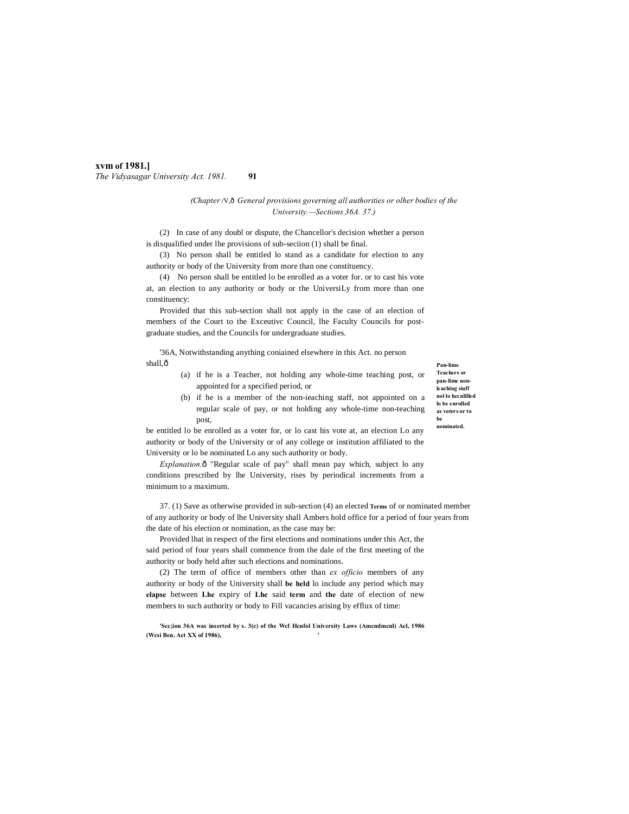#### **xvm of 1981.]** *The Vidyasagar University Act. 1981.* **91**

#### *(Chapter*/V,—*General provisions governing all authorities or olher bodies of the University.—Sections 36A. 37.)*

(2) In case of any doubl or dispute, the Chancellor's decision whether a person is disqualified under lhe provisions of sub-seciion (1) shall be final.

(3) No person shall be entitled lo stand as a candidate for election to any authority or body of the University from more than one constituency.

(4) No person shall be entitled lo be enrolled as a voter for. or to cast his vote at, an election to any authority or body or the UniversiLy from more than one constituency:

Provided that this sub-section shall not apply in the case of an election of members of the Court to the Exceutivc Council, lhe Faculty Councils for postgraduate studies, and the Councils for undergraduate studies.

'36A, Notwithstanding anything coniained elsewhere in this Act. no person shall,ô

- (a) if he is a Teacher, not holding any whole-time teaching post, or appointed for a specified period, or
- (b) if he is a member of the non-ieaching staff, not appointed on a regular scale of pay, or not holding any whole-time non-teaching post,

**Pan-lime Teachers or pan-lime nonlcaching siaff nol lo hccnlilled lo be enrolled as voters or to be nominated.**

be entitled lo be enrolled as a voter for, or lo cast his vote at, an election Lo any authority or body of the University or of any college or institution affiliated to the University or lo be nominated Lo any such authority or body.

*Explanation.* $\delta$  "Regular scale of pay" shall mean pay which, subject lo any conditions prescribed by lhe University, rises by periodical increments from a minimum to a maximum.

37. (1) Save as otherwise provided in sub-section (4) an elected **Terms** of or nominated member of any authority or body of lhe University shall Ambers hold office for a period of four years from the date of his election or nomination, as the case may be:

Provided lhat in respect of the first elections and nominations under this Act, the said period of four years shall commence from the dale of the first meeting of the authority or body held after such elections and nominations.

(2) The term of office of members other than *ex officio* members of any authority or body of the University shall **be held** lo include any period which may **elapse** between **Lhe** expiry of **Lhe** said **term** and **the** date of election of new members to such authority or body to Fill vacancies arising by efflux of time:

**'Scc;ion 36A was inserted by s. 3(c) of the Wcf Hcnfol University Laws (Amcndmcnl) Acl, 1986 (Wcsi Ben. Act XX of 1986), '**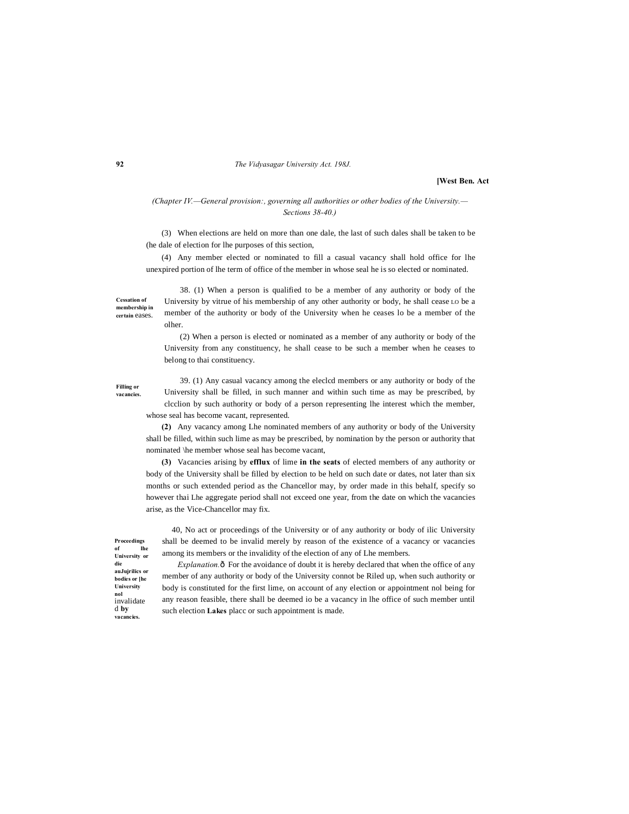#### **92** *The Vidyasagar University Act. 198J.*

**[West Ben. Act**

#### *(Chapter IV.—General provision:, governing all authorities or other bodies of the University.— Sections 38-40.)*

(3) When elections are held on more than one dale, the last of such dales shall be taken to be (he dale of election for lhe purposes of this section,

(4) Any member elected or nominated to fill a casual vacancy shall hold office for lhe unexpired portion of lhe term of office of the member in whose seal he is so elected or nominated.

**Cessation of membership in certain** eases.

38. (1) When a person is qualified to be a member of any authority or body of the University by vitrue of his membership of any other authority or body, he shall cease LO be a member of the authority or body of the University when he ceases lo be a member of the olher.

(2) When a person is elected or nominated as a member of any authority or body of the University from any constituency, he shall cease to be such a member when he ceases to belong to thai constituency.

**Filling or vacancies.**

39. (1) Any casual vacancy among the eleclcd members or any authority or body of the University shall be filled, in such manner and within such time as may be prescribed, by clcclion by such authority or body of a person representing lhe interest which the member, whose seal has become vacant, represented.

**(2)** Any vacancy among Lhe nominated members of any authority or body of the University shall be filled, within such lime as may be prescribed, by nomination by the person or authority that nominated \he member whose seal has become vacant,

**(3)** Vacancies arising by **efflux** of lime **in the seats** of elected members of any authority or body of the University shall be filled by election to be held on such date or dates, not later than six months or such extended period as the Chancellor may, by order made in this behalf, specify so however thai Lhe aggregate period shall not exceed one year, from the date on which the vacancies arise, as the Vice-Chancellor may fix.

40, No act or proceedings of the University or of any authority or body of ilic University shall be deemed to be invalid merely by reason of the existence of a vacancy or vacancies among its members or the invalidity of the election of any of Lhe members.

**Proceedings of lhe University or die auJujrilics or bodies or [he University nol** invalidate d **by vacancies.**

*Explanation.* $\hat{o}$  For the avoidance of doubt it is hereby declared that when the office of any member of any authority or body of the University connot be Riled up, when such authority or body is constituted for the first lime, on account of any election or appointment nol being for any reason feasible, there shall be deemed io be a vacancy in lhe office of such member until such election **Lakes** placc or such appointment is made.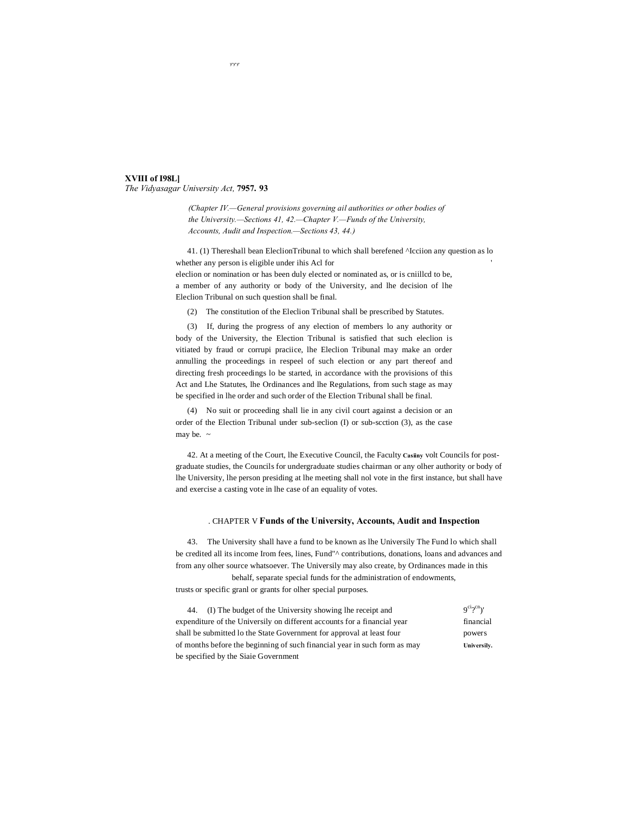#### **XVIII of I98L]** *The Vidyasagar University Act,* **7957. 93**

*(Chapter IV.—General provisions governing ail authorities or other bodies of the University.—Sections 41, 42.—Chapter V.—Funds of the University, Accounts, Audit and Inspection.—Sections 43, 44.)*

41. (1) Thereshall bean EleclionTribunal to which shall berefened ^Icciion any question as lo whether any person is eligible under ihis Acl for ' eleclion or nomination or has been duly elected or nominated as, or is cniillcd to be, a member of any authority or body of the University, and lhe decision of lhe

Eleclion Tribunal on such question shall be final.

(2) The constitution of the Eleclion Tribunal shall be prescribed by Statutes.

(3) If, during the progress of any election of members lo any authority or body of the University, the Election Tribunal is satisfied that such eleclion is vitiated by fraud or corrupi praciice, lhe Eleclion Tribunal may make an order annulling the proceedings in respeel of such election or any part thereof and directing fresh proceedings lo be started, in accordance with the provisions of this Act and Lhe Statutes, lhe Ordinances and lhe Regulations, from such stage as may be specified in lhe order and such order of the Election Tribunal shall be final.

(4) No suit or proceeding shall lie in any civil court against a decision or an order of the Election Tribunal under sub-seclion (I) or sub-scction (3), as the case may be.  $\sim$ 

42. At a meeting of the Court, lhe Executive Council, the Faculty **Casiiny** volt Councils for postgraduate studies, the Councils for undergraduate studies chairman or any olher authority or body of lhe University, lhe person presiding at lhe meeting shall nol vote in the first instance, but shall have and exercise a casting vote in lhe case of an equality of votes.

#### . CHAPTER V **Funds of the University, Accounts, Audit and Inspection**

43. The University shall have a fund to be known as lhe Universily The Fund lo which shall be credited all its income Irom fees, lines, Fund"^ contributions, donations, loans and advances and from any olher source whatsoever. The Universily may also create, by Ordinances made in this

behalf, separate special funds for the administration of endowments,

trusts or specific granl or grants for olher special purposes.

| (I) The budget of the University showing the receipt and                  | $9^{ci}2^{cn}$ )' |
|---------------------------------------------------------------------------|-------------------|
| expenditure of the Universily on different accounts for a financial year  | financial         |
| shall be submitted to the State Government for approval at least four     | powers            |
| of months before the beginning of such financial year in such form as may | Universily.       |
| be specified by the Siaie Government                                      |                   |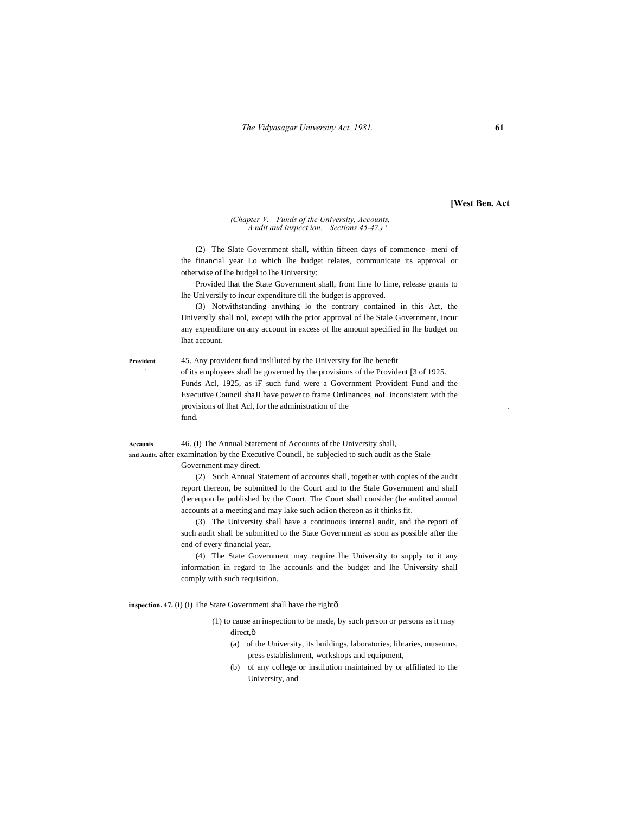**[West Ben. Act**

#### *(Chapter V.—Funds of the University, Accounts, A ndit and Inspect ion.—Sections 45-47.) '*

(2) The Slate Government shall, within fifteen days of commence- meni of the financial year Lo which lhe budget relates, communicate its approval or otherwise of lhe budgel to lhe University:

Provided lhat the State Government shall, from lime lo lime, release grants to lhe Universily to incur expenditure till the budget is approved.

(3) Notwithstanding anything lo the contrary contained in this Act, the Universily shall nol, except wilh the prior approval of lhe Stale Government, incur any expenditure on any account in excess of lhe amount specified in lhe budget on lhat account.

**Provident** 45. Any provident fund insliluted by the University for lhe benefit ' of its employees shall be governed by the provisions of the Provident [3 of 1925. Funds Acl, 1925, as iF such fund were a Government Provident Fund and the Executive Council shaJI have power to frame Ordinances, **noL** inconsistent with the provisions of lhat Acl, for the administration of the fund.

**Accaunis** 46. (I) The Annual Statement of Accounts of the University shall,

**and Audit.** after examination by the Executive Council, be subjecied to such audit as the Stale Government may direct.

> (2) Such Annual Statement of accounts shall, together with copies of the audit report thereon, be submitted lo the Court and to the Stale Government and shall (hereupon be published by the Court. The Court shall consider (he audited annual accounts at a meeting and may lake such aclion thereon as it thinks fit.

> (3) The University shall have a continuous internal audit, and the report of such audit shall be submitted to the State Government as soon as possible after the end of every financial year.

> (4) The State Government may require lhe University to supply to it any information in regard to Ihe accounls and the budget and lhe University shall comply with such requisition.

inspection. 47. (i) (i) The State Government shall have the rightô

- (1) to cause an inspection to be made, by such person or persons as it may direct, $\hat{o}$ 
	- (a) of the University, its buildings, laboratories, libraries, museums, press establishment, workshops and equipment,
	- (b) of any college or instilution maintained by or affiliated to the University, and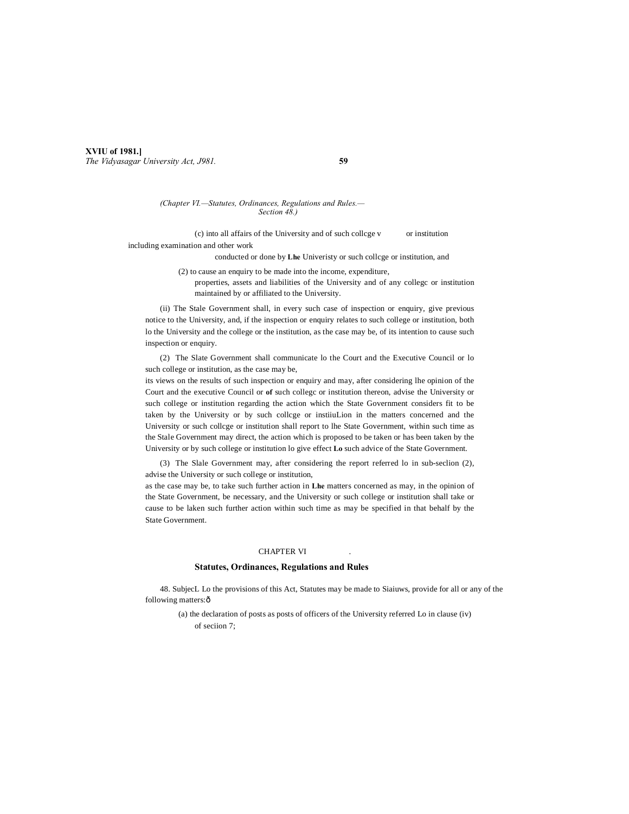#### **XVIU of 1981.]** *The Vidyasagar University Act, J981.* **59**

#### *(Chapter VI.—Statutes, Ordinances, Regulations and Rules.— Section 48.)*

(c) into all affairs of the University and of such collcge v or institution including examination and other work

conducted or done by **Lhe** Univeristy or such collcge or institution, and

(2) to cause an enquiry to be made into the income, expenditure,

properties, assets and liabilities of the University and of any collegc or institution maintained by or affiliated to the University.

(ii) The Stale Government shall, in every such case of inspection or enquiry, give previous notice to the University, and, if the inspection or enquiry relates to such college or institution, both lo the University and the college or the institution, as the case may be, of its intention to cause such inspection or enquiry.

(2) The Slate Government shall communicate lo the Court and the Executive Council or lo such college or institution, as the case may be,

its views on the results of such inspection or enquiry and may, after considering lhe opinion of the Court and the executive Council or **of** such collegc or institution thereon, advise the University or such college or institution regarding the action which the State Government considers fit to be taken by the University or by such collcge or instiiuLion in the matters concerned and the University or such collcge or institution shall report to lhe State Government, within such time as the Stale Government may direct, the action which is proposed to be taken or has been taken by the University or by such college or institution lo give effect **Lo** such advice of the State Government.

(3) The Slale Government may, after considering the report referred lo in sub-seclion (2), advise the University or such college or institution,

as the case may be, to take such further action in **Lhe** matters concerned as may, in the opinion of the State Government, be necessary, and the University or such college or institution shall take or cause to be laken such further action within such time as may be specified in that behalf by the State Government.

#### CHAPTER VI

#### **Statutes, Ordinances, Regulations and Rules**

48. SubjecL Lo the provisions of this Act, Statutes may be made to Siaiuws, provide for all or any of the following matters: ô

(a) the declaration of posts as posts of officers of the University referred Lo in clause (iv) of seciion 7;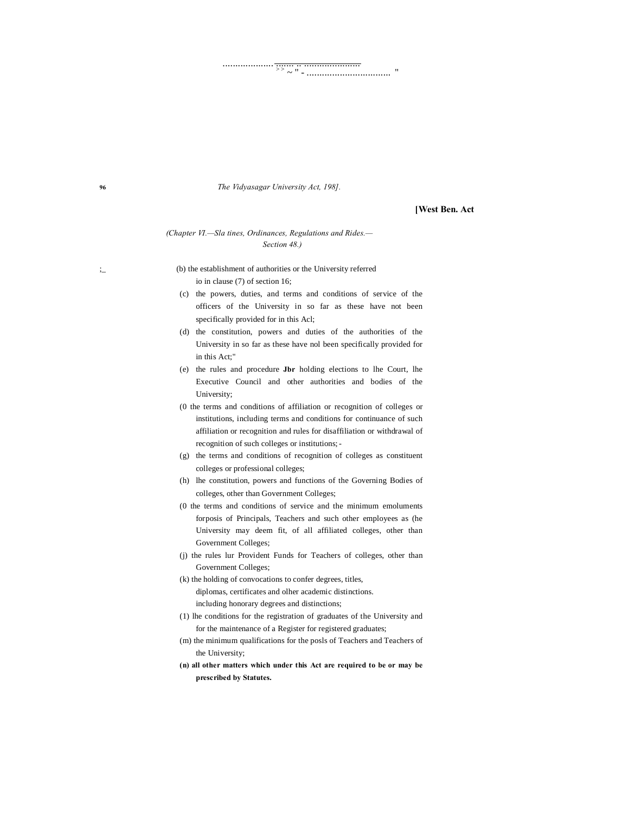**96** *The Vidyasagar University Act, 198].*

.................... ....... .. ...................... > > ~ " - ................................. "

#### **[West Ben. Act**

#### *(Chapter VI.—Sla tines, Ordinances, Regulations and Rides.— Section 48.)*

;\_ (b) the establishment of authorities or the University referred io in clause (7) of section 16;

- (c) the powers, duties, and terms and conditions of service of the officers of the University in so far as these have not been specifically provided for in this Acl;
- (d) the constitution, powers and duties of the authorities of the University in so far as these have nol been specifically provided for in this Act;"
- (e) the rules and procedure **Jbr** holding elections to lhe Court, lhe Executive Council and other authorities and bodies of the University;
- (0 the terms and conditions of affiliation or recognition of colleges or institutions, including terms and conditions for continuance of such affiliation or recognition and rules for disaffiliation or withdrawal of recognition of such colleges or institutions;-
- (g) the terms and conditions of recognition of colleges as constituent colleges or professional colleges;
- (h) lhe constitution, powers and functions of the Governing Bodies of colleges, other than Government Colleges;
- (0 the terms and conditions of service and the minimum emoluments forposis of Principals, Teachers and such other employees as (he University may deem fit, of all affiliated colleges, other than Government Colleges;
- (j) the rules lur Provident Funds for Teachers of colleges, other than Government Colleges;
- (k) the holding of convocations to confer degrees, titles, diplomas, certificates and olher academic distinctions. including honorary degrees and distinctions;
- (1) lhe conditions for the registration of graduates of the University and for the maintenance of a Register for registered graduates;
- (m) the minimum qualifications for the posls of Teachers and Teachers of the University;
- **(n) all other matters which under this Act are required to be or may be prescribed by Statutes.**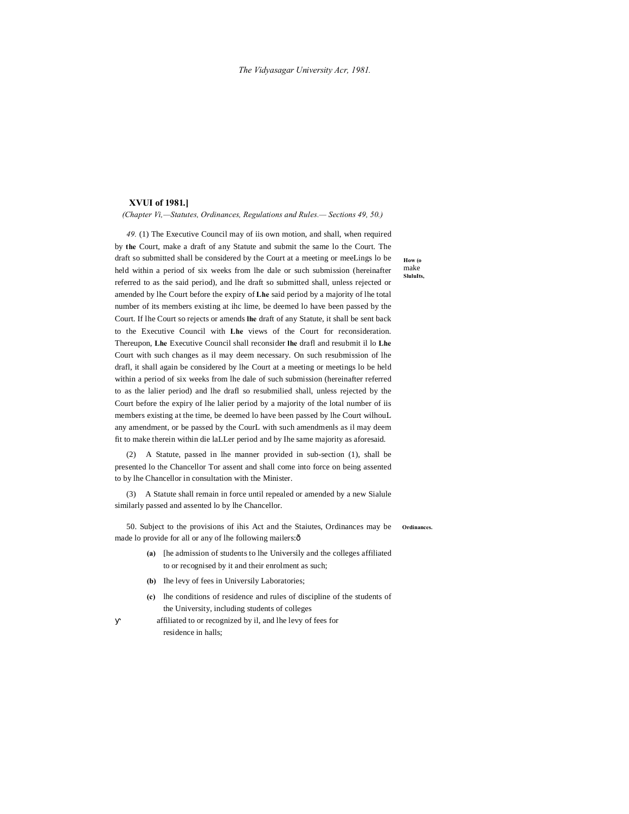#### **XVUI of 1981.]**

*(Chapter Vi,—Statutes, Ordinances, Regulations and Rules.— Sections 49, 50.)*

*49.* (1) The Executive Council may of iis own motion, and shall, when required by **the** Court, make a draft of any Statute and submit the same lo the Court. The draft so submitted shall be considered by the Court at a meeting or meeLings lo be held within a period of six weeks from lhe dale or such submission (hereinafter referred to as the said period), and lhe draft so submitted shall, unless rejected or amended by lhe Court before the expiry of **Lhe** said period by a majority of lhe total number of its members existing at ihc lime, be deemed lo have been passed by the Court. If lhe Court so rejects or amends **lhe** draft of any Statute, it shall be sent back to the Executive Council with **Lhe** views of the Court for reconsideration. Thereupon, **Lhe** Executive Council shall reconsider **lhe** drafl and resubmit il lo **Lhe** Court with such changes as il may deem necessary. On such resubmission of lhe drafl, it shall again be considered by lhe Court at a meeting or meetings lo be held within a period of six weeks from lhe dale of such submission (hereinafter referred to as the lalier period) and lhe drafl so resubmilied shall, unless rejected by the Court before the expiry of lhe lalier period by a majority of the lotal number of iis members existing at the time, be deemed lo have been passed by lhe Court wilhouL any amendment, or be passed by the CourL with such amendmenls as il may deem fit to make therein within die laLLer period and by Ihe same majority as aforesaid.

(2) A Statute, passed in lhe manner provided in sub-section (1), shall be presented lo the Chancellor Tor assent and shall come into force on being assented to by lhe Chancellor in consultation with the Minister.

(3) A Statute shall remain in force until repealed or amended by a new Sialule similarly passed and assented lo by lhe Chancellor.

50. Subject to the provisions of ihis Act and the Staiutes, Ordinances may be ordinances. made lo provide for all or any of lhe following mailers: $\delta$ 

- **(a)** [he admission of students to lhe Universily and the colleges affiliated to or recognised by it and their enrolment as such;
- **(b)** Ihe levy of fees in Universily Laboratories;
- **(c)** lhe conditions of residence and rules of discipline of the students of the University, including students of colleges affiliated to or recognized by il, and lhe levy of fees for
	- residence in halls;

**How (o**  make **SluluIts,**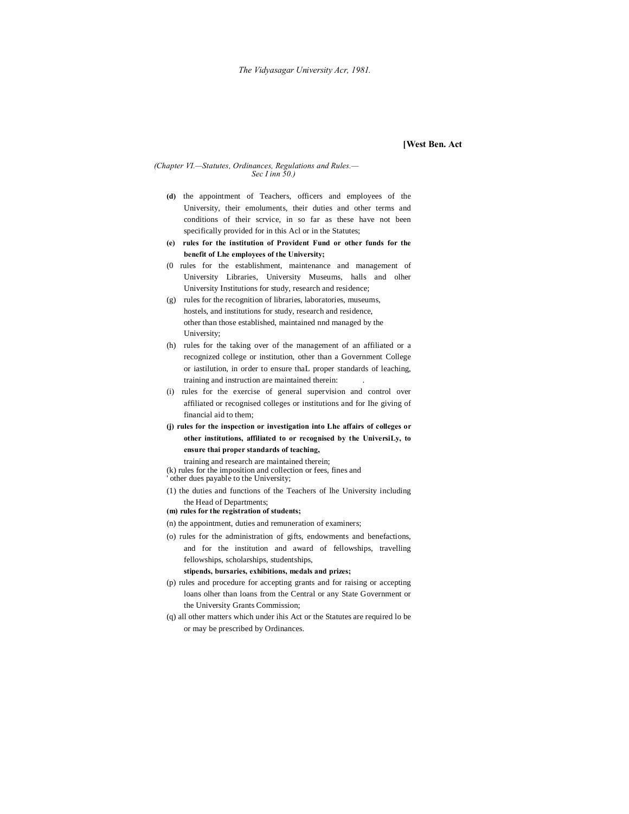#### **[West Ben. Act**

# *(Chapter VI.—Statutes, Ordinances, Regulations and Rules.— Sec I inn 50.)*

- **(d)** the appointment of Teachers, officers and employees of the University, their emoluments, their duties and other terms and conditions of their scrvice, in so far as these have not been specifically provided for in this Acl or in the Statutes;
- **(e) rules for the institution of Provident Fund or other funds for the benefit of Lhe employees of the University;**
- (0 rules for the establishment, maintenance and management of University Libraries, University Museums, halls and olher University Institutions for study, research and residence;
- (g) rules for the recognition of libraries, laboratories, museums, hostels, and institutions for study, research and residence, other than those established, maintained nnd managed by the University;
- (h) rules for the taking over of the management of an affiliated or a recognized college or institution, other than a Government College or iastilution, in order to ensure thaL proper standards of leaching, training and instruction are maintained therein: .
- (i) rules for the exercise of general supervision and control over affiliated or recognised colleges or institutions and for Ihe giving of financial aid to them;
- **(j) rules for the inspection or investigation into Lhe affairs of colleges or other institutions, affiliated to or recognised by the UniversiLy, to ensure thai proper standards of teaching,**
	- training and research are maintained therein;
- (k) rules for the imposition and collection or fees, fines and
- other dues payable to the University;
- (1) the duties and functions of the Teachers of lhe University including the Head of Departments;
- **(m) rules for the registration of students;**
- (n) the appointment, duties and remuneration of examiners;
- (o) rules for the administration of gifts, endowments and benefactions, and for the institution and award of fellowships, travelling fellowships, scholarships, studentships,

#### **stipends, bursaries, exhibitions, medals and prizes;**

- (p) rules and procedure for accepting grants and for raising or accepting loans olher than loans from the Central or any State Government or the University Grants Commission;
- (q) all other matters which under ihis Act or the Statutes are required lo be or may be prescribed by Ordinances.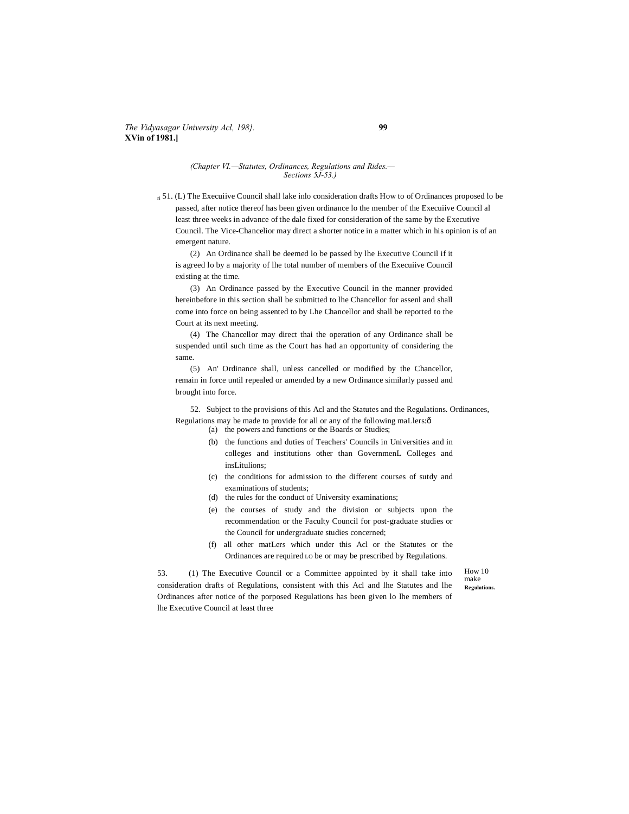#### *The Vidyasagar University Acl, 198}.* **99 XVin of 1981.]**

#### *(Chapter VI.—Statutes, Ordinances, Regulations and Rides.— Sections 5J-53.)*

ri 51. (L) The Execuiive Council shall lake inlo consideration drafts How to of Ordinances proposed lo be passed, after notice thereof has been given ordinance lo the member of the Execuiive Council al least three weeks in advance of the dale fixed for consideration of the same by the Executive Council. The Vice-Chancelior may direct a shorter notice in a matter which in his opinion is of an emergent nature.

(2) An Ordinance shall be deemed lo be passed by lhe Executive Council if it is agreed lo by a majority of lhe total number of members of the Execuiive Council existing at the time.

(3) An Ordinance passed by the Executive Council in the manner provided hereinbefore in this section shall be submitted to lhe Chancellor for assenl and shall come into force on being assented to by Lhe Chancellor and shall be reported to the Court at its next meeting.

(4) The Chancellor may direct thai the operation of any Ordinance shall be suspended until such time as the Court has had an opportunity of considering the same.

(5) An' Ordinance shall, unless cancelled or modified by the Chancellor, remain in force until repealed or amended by a new Ordinance similarly passed and brought into force.

52. Subject to the provisions of this Acl and the Statutes and the Regulations. Ordinances, Regulations may be made to provide for all or any of the following maLlers: $\delta$ 

(a) the powers and functions or the Boards or Studies;

- (b) the functions and duties of Teachers' Councils in Universities and in colleges and institutions other than GovernmenL Colleges and insLitulions;
- (c) the conditions for admission to the different courses of sutdy and examinations of students;
- (d) the rules for the conduct of University examinations;
- (e) the courses of study and the division or subjects upon the recommendation or the Faculty Council for post-graduate studies or the Council for undergraduate studies concerned;
- (f) all other matLers which under this Acl or the Statutes or the Ordinances are required LO be or may be prescribed by Regulations.

53. (1) The Executive Council or a Committee appointed by it shall take into consideration drafts of Regulations, consistent with this Acl and lhe Statutes and lhe Ordinances after notice of the porposed Regulations has been given lo lhe members of lhe Executive Council at least three

How 10 make **Regulations.**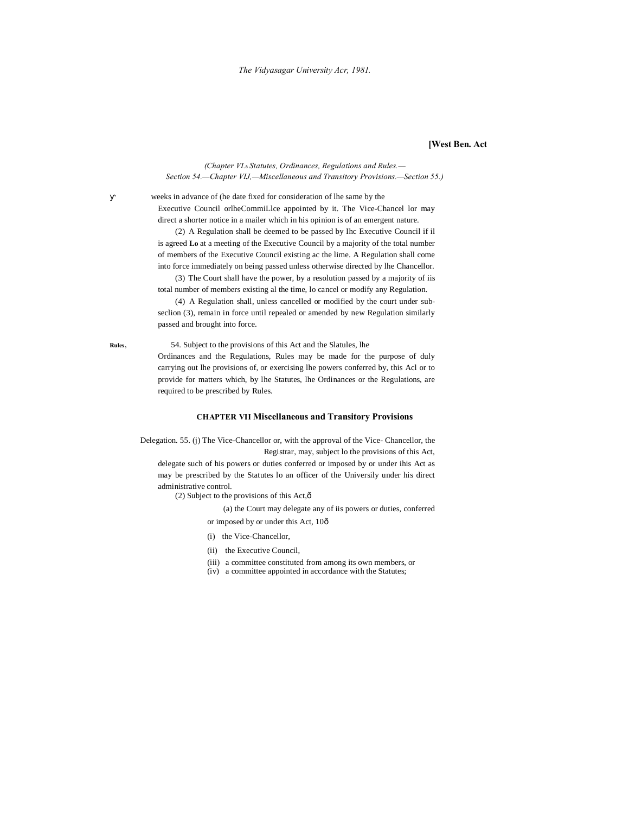**[West Ben. Act**

*(Chapter VI.*—*Statutes, Ordinances, Regulations and Rules.— Section 54.—Chapter VIJ,—Miscellaneous and Transitory Provisions.—Section 55.)*

weeks in advance of (he date fixed for consideration of lhe same by the Executive Council orlheCommiLlce appointed by it. The Vice-Chancel lor may direct a shorter notice in a mailer which in his opinion is of an emergent nature.

(2) A Regulation shall be deemed to be passed by Ihc Executive Council if il is agreed **Lo** at a meeting of the Executive Council by a majority of the total number of members of the Executive Council existing ac the lime. A Regulation shall come into force immediately on being passed unless otherwise directed by lhe Chancellor.

(3) The Court shall have the power, by a resolution passed by a majority of iis total number of members existing al the time, lo cancel or modify any Regulation.

(4) A Regulation shall, unless cancelled or modified by the court under subseclion (3), remain in force until repealed or amended by new Regulation similarly passed and brought into force.

**Rules,** 54. Subject to the provisions of this Act and the Slatules, lhe

Ordinances and the Regulations, Rules may be made for the purpose of duly carrying out lhe provisions of, or exercising lhe powers conferred by, this Acl or to provide for matters which, by lhe Statutes, lhe Ordinances or the Regulations, are required to be prescribed by Rules.

#### **CHAPTER VII Miscellaneous and Transitory Provisions**

Delegation. 55. (j) The Vice-Chancellor or, with the approval of the Vice- Chancellor, the Registrar, may, subject lo the provisions of this Act,

delegate such of his powers or duties conferred or imposed by or under ihis Act as may be prescribed by the Statutes lo an officer of the Universily under his direct administrative control.

(2) Subject to the provisions of this Act, $\hat{\text{o}}$ 

(a) the Court may delegate any of iis powers or duties, conferred or imposed by or under this Act, 10 $\hat{o}$ 

- (i) the Vice-Chancellor,
- 
- (ii) the Executive Council,
- (iii) a committee constituted from among its own members, or
- (iv) a committee appointed in accordance with the Statutes;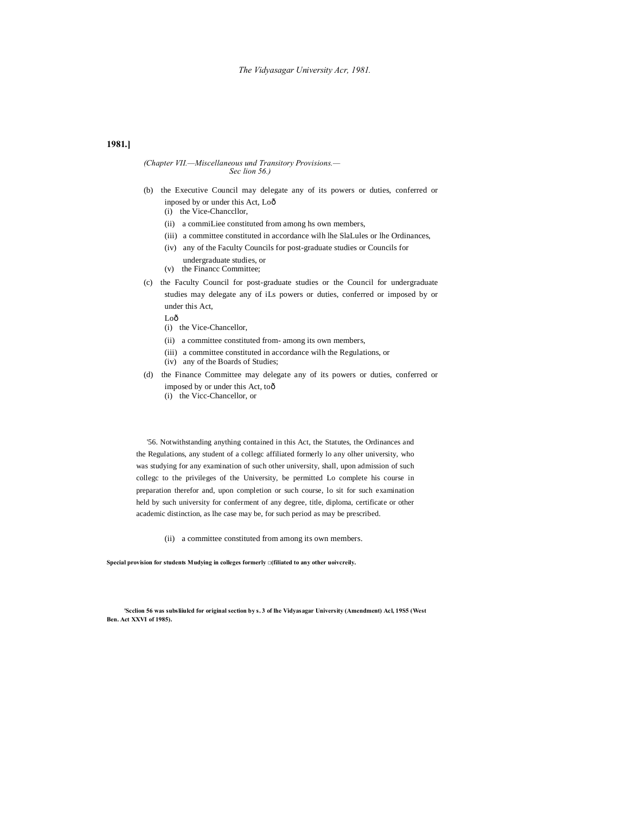#### *The Vidyasagar University Acr, 1981.*

#### **1981.]**

#### *(Chapter VII.—Miscellaneous und Transitory Provisions.— Sec lion 56.)*

- (b) the Executive Council may delegate any of its powers or duties, conferred or inposed by or under this Act, Lo—
	- (i) the Vice-Chanccllor,
	- (ii) a commiLiee constituted from among hs own members,
	- (iii) a committee constituted in accordance wilh lhe SlaLules or lhe Ordinances,
	- (iv) any of the Faculty Councils for post-graduate studies or Councils for
	- undergraduate studies, or (v) the Financc Committee;
- (c) the Faculty Council for post-graduate studies or the Council for undergraduate studies may delegate any of iLs powers or duties, conferred or imposed by or under this Act,
	- Loô
	- (i) the Vice-Chancellor,
	- (ii) a committee constituted from- among its own members,
	- (iii) a committee constituted in accordance wilh the Regulations, or
	- (iv) any of the Boards of Studies;
- (d) the Finance Committee may delegate any of its powers or duties, conferred or imposed by or under this Act, toô
	- (i) the Vicc-Chancellor, or

'56. Notwithstanding anything contained in this Act, the Statutes, the Ordinances and the Regulations, any student of a collegc affiliated formerly lo any olher university, who was studying for any examination of such other university, shall, upon admission of such collegc to the privileges of the University, be permitted Lo complete his course in preparation therefor and, upon completion or such course, lo sit for such examination held by such university for conferment of any degree, title, diploma, certificate or other academic distinction, as lhe case may be, for such period as may be prescribed.

(ii) a committee constituted from among its own members.

**Special provision for students Mudying in colleges formerly □(filiated to any other uoivcreily.**

**'Scclion 56 was subsliiulcd for original section by s. 3 of lhe Vidyasagar University (Amendment) Acl, 19S5 (West Ben. Act XXVI of 1985).**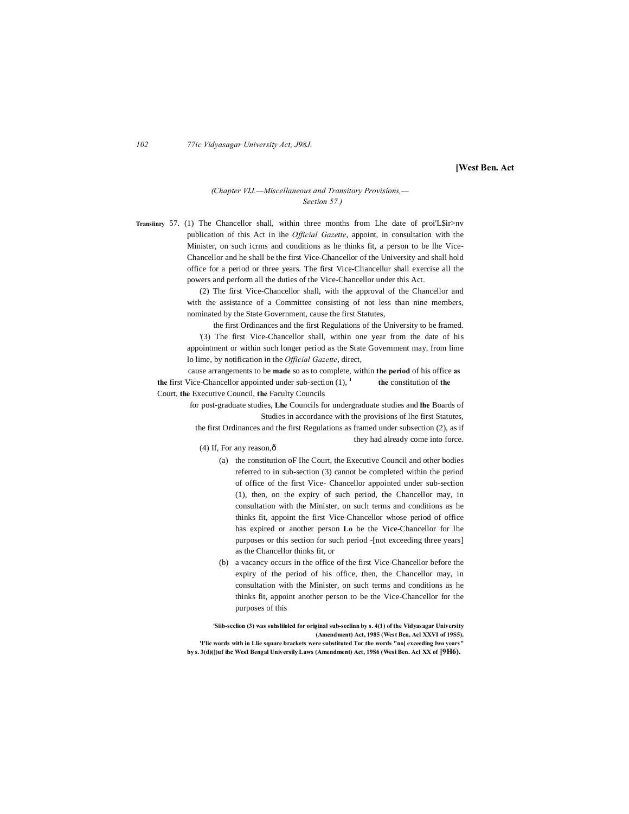*102 77ic Vidyasagar University Act, J98J.*

**[West Ben. Act**

#### *(Chapter VIJ.—Miscellaneous and Transitory Provisions,— Section 57.)*

**Transiinry** 57. (1) The Chancellor shall, within three months from Lhe date of proi'L\$ir>nv publication of this Act in ihe *Official Gazette*, appoint, in consultation with the Minister, on such icrms and conditions as he thinks fit, a person to be lhe Vice-Chancellor and he shall be the first Vice-Chancellor of the University and shall hold office for a period or three years. The first Vice-Cliancellur shall exercise all the powers and perform all the duties of the Vice-Chancellor under this Act.

> (2) The first Vice-Chancellor shall, with the approval of the Chancellor and with the assistance of a Committee consisting of not less than nine members, nominated by the State Government, cause the first Statutes,

> the first Ordinances and the first Regulations of the University to be framed. '(3) The first Vice-Chancellor shall, within one year from the date of his appointment or within such longer period as the State Government may, from lime lo lime, by notification in the *Official Gazette*, direct,

cause arrangements to be **made** so as to complete, within **the period** of his office **as the** first Vice-Chancellor appointed under sub-section (1), **<sup>1</sup> the** constitution of **the** Court, **the** Executive Council, **the** Faculty Councils

> for post-graduate studies, **Lhe** Councils for undergraduate studies and **lhe** Boards of Studies in accordance with the provisions of lhe first Statutes, the first Ordinances and the first Regulations as framed under subsection (2), as if

they had already come into force.

- (4) If, For any reason, $\hat{o}$ 
	- (a) the constitution oF Ihe Court, the Executive Council and other bodies referred to in sub-section (3) cannot be completed within the period of office of the first Vice- Chancellor appointed under sub-section (1), then, on the expiry of such period, the Chancellor may, in consultation with the Minister, on such terms and conditions as he thinks fit, appoint the first Vice-Chancellor whose period of office has expired or another person **Lo** be the Vice-Chancellor for lhe purposes or this section for such period -[not exceeding three years] as the Chancellor thinks fit, or
	- (b) a vacancy occurs in the office of the first Vice-Chancellor before the expiry of the period of his office, then, the Chancellor may, in consultation with the Minister, on such terms and conditions as he thinks fit, appoint another person to be the Vice-Chancellor for the purposes of this

**'Siib-scclion (3) was suhslilolcd for original sub-seclinn by s. 4(1) of the Vidyasagar University (Amendment) Act, 1985 (West Ben, Acl XXVI of 19S5). 'I'lic words with in Llie square brackets were substituted Tor the words "no[ exceeding lwo years" by s. 3(d)(])uf ihc WesI Bengal Universily Laws (Amendment) Act, 19S6 (Wesi Ben. Acl XX of [9H6).**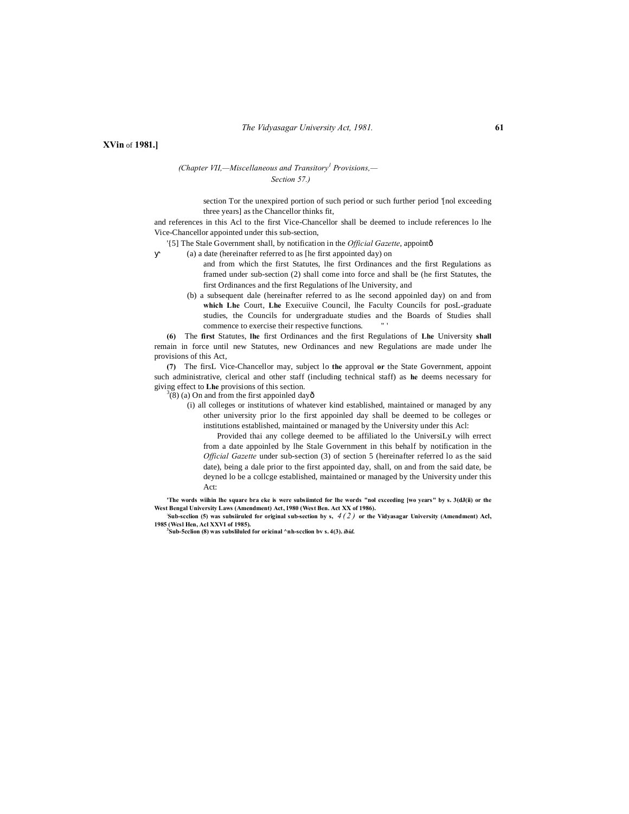**XVin** of **1981.]**

*(Chapter VII,—Miscellaneous and Transitory<sup>1</sup> Provisions,— Section 57.)*

> section Tor the unexpired portion of such period or such further period '[nol exceeding three years] as the Chancellor thinks fit,

and references in this Acl to the first Vice-Chancellor shall be deemed to include references lo lhe Vice-Chancellor appointed under this sub-section,

'{5] The Stale Government shall, by notification in the *Official Gazette*, appoint—

(a) a date (hereinafter referred to as [he first appointed day) on

- and from which the first Statutes, lhe first Ordinances and the first Regulations as framed under sub-section (2) shall come into force and shall be (he first Statutes, the first Ordinances and the first Regulations of lhe University, and
- (b) a subsequent dale (hereinafter referred to as lhe second appoinled day) on and from **which Lhe** Court, **Lhe** Execuiive Council, lhe Faculty Councils for posL-graduate studies, the Councils for undergraduate studies and the Boards of Studies shall commence to exercise their respective functions.

**(6)** The **first** Statutes, **lhe** first Ordinances and the first Regulations of **Lhe** University **shall** remain in force until new Statutes, new Ordinances and new Regulations are made under lhe provisions of this Act,

**(7)** The firsL Vice-Chancellor may, subject lo **the** approval **or** the State Government, appoint such administrative, clerical and other staff (including technical staff) as **he** deems necessary for giving effect to **Lhe** provisions of this section. <sup>3</sup>

 $(8)(a)$  On and from the first appoinled dayô

(i) all colleges or institutions of whatever kind established, maintained or managed by any other university prior lo the first appoinled day shall be deemed to be colleges or institutions established, maintained or managed by the University under this Acl:

Provided thai any college deemed to be affiliated lo the UniversiLy wilh errect from a date appoinled by lhe Stale Government in this behalf by notification in the *Official Gazette* under sub-section (3) of section 5 (hereinafter referred lo as the said date), being a dale prior to the first appointed day, shall, on and from the said date, be deyned lo be a collcge established, maintained or managed by the University under this Act:

**'The words wiihin lhe square bra eke is were subsiimtcd for lhe words "nol exceeding [wo years" by s. 3(dJ(ii) or the West Bengal University Laws (Amendment) Act, 1980 (West Ben. Act XX of 1986).**

**: Sub-scclion (5) was subsiiruled for original sub-section by s,** *4 ( 2 )* **or the Vidyasagar University (Amendment) Acl, 1985 (Wcsl Hen, Acl XXVI of 1985). <sup>3</sup> Sub-5cclion (8) was subsliluled for oricinal ^nh-scclion bv s. 4(3).** *ibid.*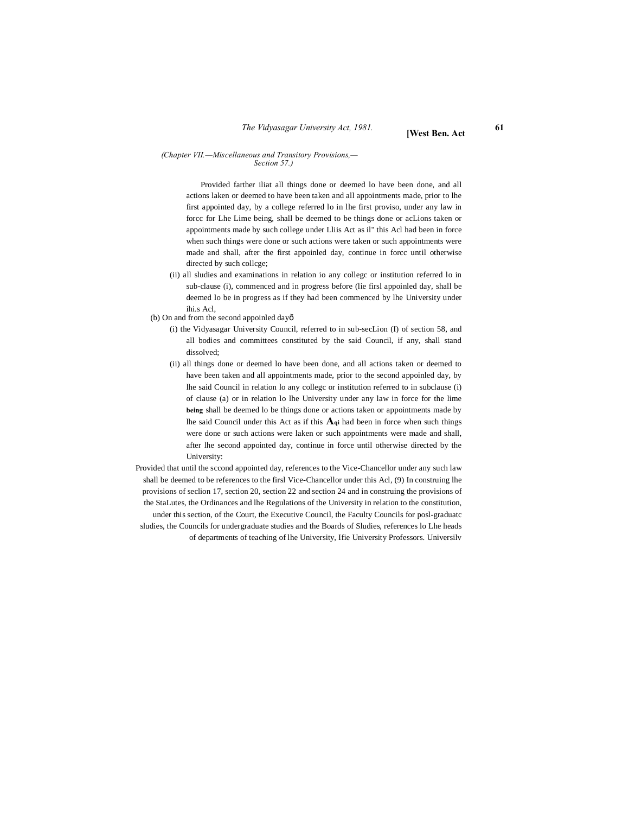#### *(Chapter VII.—Miscellaneous and Transitory Provisions,— Section 57.)*

Provided farther iliat all things done or deemed lo have been done, and all actions laken or deemed to have been taken and all appointments made, prior to lhe first appointed day, by a college referred lo in lhe first proviso, under any law in forcc for Lhe Lime being, shall be deemed to be things done or acLions taken or appointments made by such college under Lliis Act as il" this Acl had been in force when such things were done or such actions were taken or such appointments were made and shall, after the first appoinled day, continue in forcc until otherwise directed by such collcge;

(ii) all sludies and examinations in relation io any collegc or institution referred lo in sub-clause (i), commenced and in progress before (lie firsl appoinled day, shall be deemed lo be in progress as if they had been commenced by lhe University under ihi.s Acl,

(b) On and from the second appoinled dayô

- (i) the Vidyasagar University Council, referred to in sub-secLion (I) of section 58, and all bodies and committees constituted by the said Council, if any, shall stand dissolved;
- (ii) all things done or deemed lo have been done, and all actions taken or deemed to have been taken and all appointments made, prior to the second appoinled day, by lhe said Council in relation lo any collegc or institution referred to in subclause (i) of clause (a) or in relation lo lhe University under any law in force for the lime **being** shall be deemed lo be things done or actions taken or appointments made by lhe said Council under this Act as if this **Aqi** had been in force when such things were done or such actions were laken or such appointments were made and shall, after lhe second appointed day, continue in force until otherwise directed by the University:
- Provided that until the sccond appointed day, references to the Vice-Chancellor under any such law shall be deemed to be references to the firsl Vice-Chancellor under this Acl, (9) In construing lhe provisions of seclion 17, section 20, section 22 and section 24 and in construing the provisions of the StaLutes, the Ordinances and lhe Regulations of the University in relation to the constitution, under this section, of the Court, the Executive Council, the Faculty Councils for posl-graduatc sludies, the Councils for undergraduate studies and the Boards of Sludies, references lo Lhe heads of departments of teaching of lhe University, Ifie University Professors. Universilv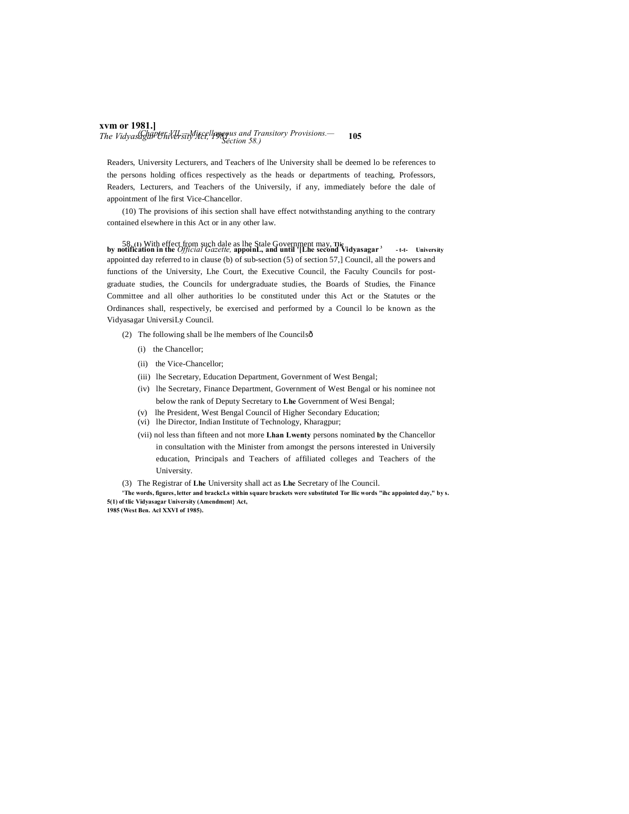### **xvm or 1981.]** *The Vidyasagar University Act, 1981.* **105** *(Chapter VII.—Miscellaneous and Transitory Provisions.— Section 58.)*

Readers, University Lecturers, and Teachers of lhe University shall be deemed lo be references to the persons holding offices respectively as the heads or departments of teaching, Professors, Readers, Lecturers, and Teachers of the Universily, if any, immediately before the dale of appointment of lhe first Vice-Chancellor.

(10) The provisions of ihis section shall have effect notwithstanding anything to the contrary contained elsewhere in this Act or in any other law.

58.(1) With effect from such dale as lhe Stale Government may, Tliculture and write the Official Gazette, appoint., and until '[Lhe second Vidyasagar<sup>3</sup> -t-t- University appointed day referred to in clause (b) of sub-section (5) of section 57,] Council, all the powers and functions of the University, Lhe Court, the Executive Council, the Faculty Councils for postgraduate studies, the Councils for undergraduate studies, the Boards of Studies, the Finance Committee and all olher authorities lo be constituted under this Act or the Statutes or the Ordinances shall, respectively, be exercised and performed by a Council lo be known as the Vidyasagar UniversiLy Council.

- (2) The following shall be lhe members of lhe Councils $\hat{o}$ 
	- (i) the Chancellor;
	- (ii) the Vice-Chancellor;
	- (iii) lhe Secretary, Education Department, Government of West Bengal;
	- (iv) lhe Secretary, Finance Department, Government of West Bengal or his nominee not below the rank of Deputy Secretary to **Lhe** Government of Wesi Bengal;
	- (v) lhe President, West Bengal Council of Higher Secondary Education;
	- (vi) lhe Director, Indian Institute of Technology, Kharagpur;
	- (vii) nol less than fifteen and not more **Lhan Lwenty** persons nominated **by** the Chancellor in consultation with the Minister from amongst the persons interested in Universily education, Principals and Teachers of affiliated colleges and Teachers of the University.
- (3) The Registrar of **Lhe** University shall act as **Lhe** Secretary of lhe Council.

**'The words, figures, letter and brackcLs within square brackets were substituted Tor llic words "ihc appointed day," by s. 5(1) of tlic Vidyasagar University (Amendment} Act, 1985 (West Ben. Acl XXVI of 1985).**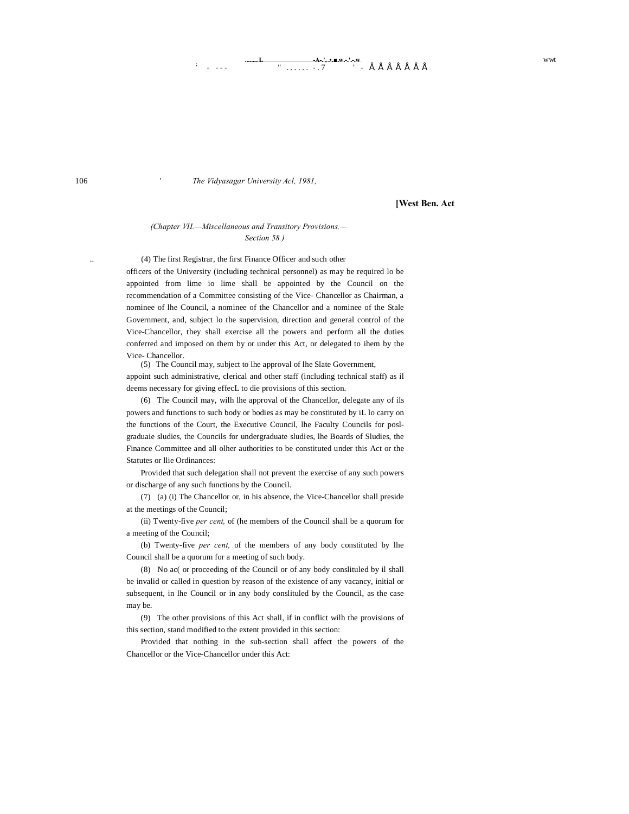# <del>-A-.', •.■.w.</del>--'.-.<del>w</del> **b** . E . E . E . E . E . E . E . E . e .  $\sqrt{2}$  wwt

106 ' *The Vidyasagar University Acl, 1981,*

**[West Ben. Act**

#### *(Chapter VII.—Miscellaneous and Transitory Provisions.— Section 58.)*

(4) The first Registrar, the first Finance Officer and such other

officers of the University (including technical personnel) as may be required lo be appointed from lime io lime shall be appointed by the Council on the recommendation of a Committee consisting of the Vice- Chancellor as Chairman, a nominee of lhe Council, a nominee of the Chancellor and a nominee of the Stale Government, and, subject lo the supervision, direction and general control of the Vice-Chancellor, they shall exercise all the powers and perform all the duties conferred and imposed on them by or under this Act, or delegated to ihem by the Vice- Chancellor.

(5) The Council may, subject to lhe approval of lhe Slate Government, appoint such administrative, clerical and other staff (including technical staff) as il deems necessary for giving effecL to die provisions of this section.

(6) The Council may, wilh lhe approval of the Chancellor, delegate any of ils powers and functions to such body or bodies as may be constituted by iL lo carry on the functions of the Court, the Executive Council, lhe Faculty Councils for poslgraduaie sludies, the Councils for undergraduate sludies, lhe Boards of Sludies, the Finance Committee and all olher authorities to be constituted under this Act or the Statutes or llie Ordinances:

Provided that such delegation shall not prevent the exercise of any such powers or discharge of any such functions by the Council.

(7) (a) (i) The Chancellor or, in his absence, the Vice-Chancellor shall preside at the meetings of the Council;

(ii) Twenty-five *per cent,* of (he members of the Council shall be a quorum for a meeting of the Council;

(b) Twenty-five *per cent,* of the members of any body constituted by lhe Council shall be a quorum for a meeting of such body.

(8) No ac( or proceeding of the Council or of any body conslituled by il shall be invalid or called in question by reason of the existence of any vacancy, initial or subsequent, in lhe Council or in any body conslituled by the Council, as the case may be.

(9) The other provisions of this Act shall, if in conflict wilh the provisions of this section, stand modified to the extent provided in this section:

Provided that nothing in the sub-section shall affect the powers of the Chancellor or the Vice-Chancellor under this Act: